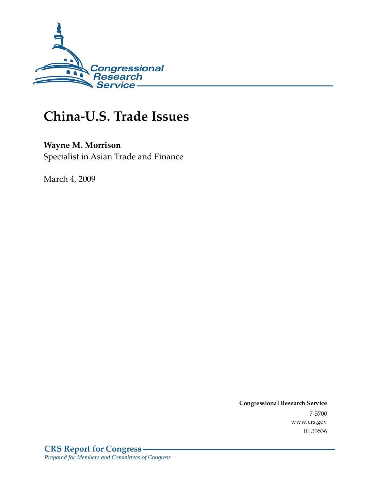

# China-U.S. Trade Issues

## **Wayne M. Morrison**

Specialist in Asian Trade and Finance

March 4, 2009

Conglessional Research Service  $7 - 2700$ www.crs.gov RL33536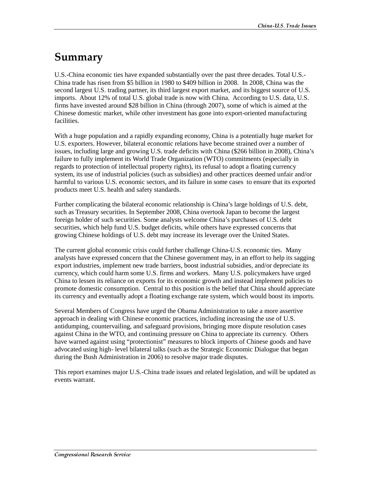## Summary

U.S.-China economic ties have expanded substantially over the past three decades. Total U.S.- China trade has risen from \$5 billion in 1980 to \$409 billion in 2008. In 2008, China was the second largest U.S. trading partner, its third largest export market, and its biggest source of U.S. imports. About 12% of total U.S. global trade is now with China. According to U.S. data, U.S. firms have invested around \$28 billion in China (through 2007), some of which is aimed at the Chinese domestic market, while other investment has gone into export-oriented manufacturing facilities.

With a huge population and a rapidly expanding economy, China is a potentially huge market for U.S. exporters. However, bilateral economic relations have become strained over a number of issues, including large and growing U.S. trade deficits with China (\$266 billion in 2008), China's failure to fully implement its World Trade Organization (WTO) commitments (especially in regards to protection of intellectual property rights), its refusal to adopt a floating currency system, its use of industrial policies (such as subsidies) and other practices deemed unfair and/or harmful to various U.S. economic sectors, and its failure in some cases to ensure that its exported products meet U.S. health and safety standards.

Further complicating the bilateral economic relationship is China's large holdings of U.S. debt, such as Treasury securities. In September 2008, China overtook Japan to become the largest foreign holder of such securities. Some analysts welcome China's purchases of U.S. debt securities, which help fund U.S. budget deficits, while others have expressed concerns that growing Chinese holdings of U.S. debt may increase its leverage over the United States.

The current global economic crisis could further challenge China-U.S. economic ties. Many analysts have expressed concern that the Chinese government may, in an effort to help its sagging export industries, implement new trade barriers, boost industrial subsidies, and/or depreciate its currency, which could harm some U.S. firms and workers. Many U.S. policymakers have urged China to lessen its reliance on exports for its economic growth and instead implement policies to promote domestic consumption. Central to this position is the belief that China should appreciate its currency and eventually adopt a floating exchange rate system, which would boost its imports.

Several Members of Congress have urged the Obama Administration to take a more assertive approach in dealing with Chinese economic practices, including increasing the use of U.S. antidumping, countervailing, and safeguard provisions, bringing more dispute resolution cases against China in the WTO, and continuing pressure on China to appreciate its currency. Others have warned against using "protectionist" measures to block imports of Chinese goods and have advocated using high- level bilateral talks (such as the Strategic Economic Dialogue that began during the Bush Administration in 2006) to resolve major trade disputes.

This report examines major U.S.-China trade issues and related legislation, and will be updated as events warrant.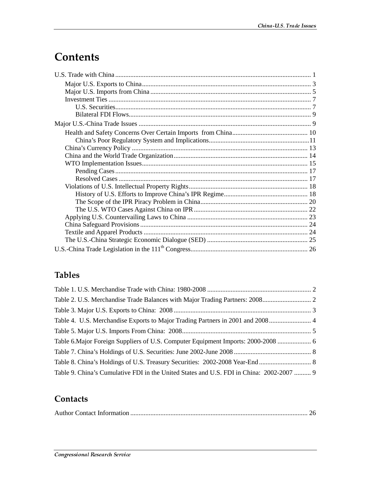# **Contents**

## **Tables**

| Table 6. Major Foreign Suppliers of U.S. Computer Equipment Imports: 2000-2008  6        |  |
|------------------------------------------------------------------------------------------|--|
|                                                                                          |  |
|                                                                                          |  |
| Table 9. China's Cumulative FDI in the United States and U.S. FDI in China: 2002-2007  9 |  |

### **Contacts**

|--|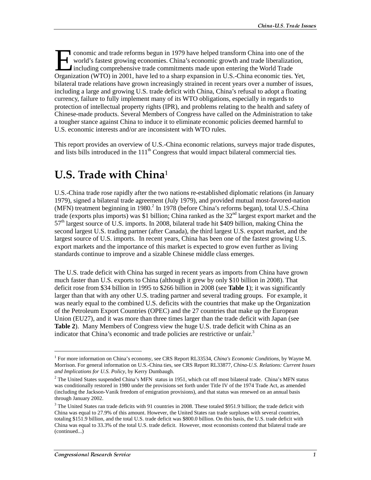conomic and trade reforms begun in 1979 have helped transform China into one of the world's fastest growing economies. China's economic growth and trade liberalization, Including comprehensive trade commitments made upon entering the World Trade Conomic and trade reforms begun in 1979 have helped transform China into one of the world's fastest growing economies. China's economic growth and trade liberalization, including comprehensive trade commitments made upon e bilateral trade relations have grown increasingly strained in recent years over a number of issues, including a large and growing U.S. trade deficit with China, China's refusal to adopt a floating currency, failure to fully implement many of its WTO obligations, especially in regards to protection of intellectual property rights (IPR), and problems relating to the health and safety of Chinese-made products. Several Members of Congress have called on the Administration to take a tougher stance against China to induce it to eliminate economic policies deemed harmful to U.S. economic interests and/or are inconsistent with WTO rules.

This report provides an overview of U.S.-China economic relations, surveys major trade disputes, and lists bills introduced in the  $111<sup>th</sup>$  Congress that would impact bilateral commercial ties.

# U.S. Trade with  $China^1$

U.S.-China trade rose rapidly after the two nations re-established diplomatic relations (in January 1979), signed a bilateral trade agreement (July 1979), and provided mutual most-favored-nation (MFN) treatment beginning in 1980.<sup>2</sup> In 1978 (before China's reforms began), total U.S.-China trade (exports plus imports) was \$1 billion; China ranked as the  $32<sup>nd</sup>$  largest export market and the 57<sup>th</sup> largest source of U.S. imports. In 2008, bilateral trade hit \$409 billion, making China the second largest U.S. trading partner (after Canada), the third largest U.S. export market, and the largest source of U.S. imports. In recent years, China has been one of the fastest growing U.S. export markets and the importance of this market is expected to grow even further as living standards continue to improve and a sizable Chinese middle class emerges.

The U.S. trade deficit with China has surged in recent years as imports from China have grown much faster than U.S. exports to China (although it grew by only \$10 billion in 2008). That deficit rose from \$34 billion in 1995 to \$266 billion in 2008 (see **Table 1**); it was significantly larger than that with any other U.S. trading partner and several trading groups. For example, it was nearly equal to the combined U.S. deficits with the countries that make up the Organization of the Petroleum Export Countries (OPEC) and the 27 countries that make up the European Union (EU27), and it was more than three times larger than the trade deficit with Japan (see **Table 2**). Many Members of Congress view the huge U.S. trade deficit with China as an indicator that China's economic and trade policies are restrictive or unfair.<sup>3</sup>

<sup>&</sup>lt;sup>1</sup> For more information on China's economy, see CRS Report RL33534, *China's Economic Conditions*, by Wayne M. Morrison. For general information on U.S.-China ties, see CRS Report RL33877, *China-U.S. Relations: Current Issues and Implications for U.S. Policy*, by Kerry Dumbaugh.

 $2^2$  The United States suspended China's MFN status in 1951, which cut off most bilateral trade. China's MFN status was conditionally restored in 1980 under the provisions set forth under Title IV of the 1974 Trade Act, as amended (including the Jackson-Vanik freedom of emigration provisions), and that status was renewed on an annual basis through January 2002.

<sup>&</sup>lt;sup>3</sup> The United States ran trade deficits with 91 countries in 2008. These totaled \$951.9 billion; the trade deficit with China was equal to 27.9% of this amount. However, the United States ran trade surpluses with several countries, totaling \$151.9 billion, and the total U.S. trade deficit was \$800.0 billion. On this basis, the U.S. trade deficit with China was equal to 33.3% of the total U.S. trade deficit. However, most economists contend that bilateral trade are (continued...)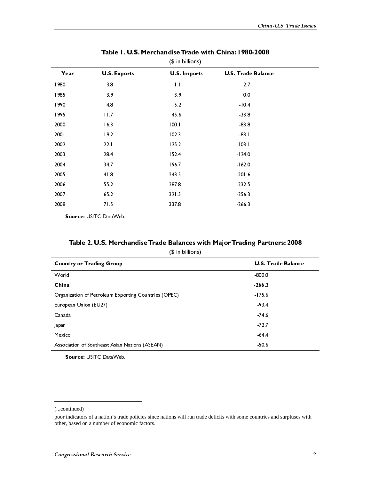|      |                     | <i>ן</i> פוויטוויט ווי |                           |  |
|------|---------------------|------------------------|---------------------------|--|
| Year | <b>U.S. Exports</b> | <b>U.S. Imports</b>    | <b>U.S. Trade Balance</b> |  |
| 1980 | 3.8                 | $\mathbf{L}$           | 2.7                       |  |
| 1985 | 3.9                 | 3.9                    | 0.0                       |  |
| 1990 | 4.8                 | 15.2                   | $-10.4$                   |  |
| 1995 | 11.7                | 45.6                   | 33.8                      |  |
| 2000 | 16.3                | 100.1                  | $-83.8$                   |  |
| 2001 | 19.2                | 102.3                  | $-83$                     |  |
| 2002 | 22.1                | 125.2                  | $-103.1$                  |  |
| 2003 | 28.4                | 152.4                  | $-124.0$                  |  |
| 2004 | 34.7                | 196.7                  | $-162.0$                  |  |
| 2005 | 41.8                | 243.5                  | 201.6                     |  |
| 2006 | 55.2                | 287.8                  | 232.5                     |  |
| 2007 | 65.2                | 321.5                  | 256.3                     |  |
| 2008 | 71.5                | 337.8                  | 266.3                     |  |

## Table 1. U.S. Merchandise Trade with China: 1980-2008<br>(Color killister)

Source: USITC DataWeb.

| Table 2. U.S. Merchandise Trade Balances with Major Trading Partners: 2008 |  |
|----------------------------------------------------------------------------|--|
|                                                                            |  |

|  | $$$ in billions) |
|--|------------------|
|  |                  |

| <b>Country or Trading Group</b>                                                                                                                                            | <b>U.S. Trade Balance</b> |                |
|----------------------------------------------------------------------------------------------------------------------------------------------------------------------------|---------------------------|----------------|
| World<br>China                                                                                                                                                             | $-800.0$<br>$-266.3$      |                |
| Organization of Petroleum Exporting Countries (OPEC)                                                                                                                       | $-175.6$                  |                |
| European Union (EU27)<br>Canada                                                                                                                                            | $-93.4$                   |                |
| Japan                                                                                                                                                                      | 74.6<br>72.7              |                |
| Mexico                                                                                                                                                                     | $-64.4$                   |                |
| Association of Southeast Asian Nations (ASEAN)<br>Source: USITC DataWeb.                                                                                                   | $-50.6$                   |                |
|                                                                                                                                                                            |                           |                |
|                                                                                                                                                                            |                           |                |
|                                                                                                                                                                            |                           |                |
| (continued)                                                                                                                                                                |                           |                |
| poor indicators of a nation's trade policies since nations will run trade deficits with some countries and surpluses with<br>other, based on a number of economic factors. |                           |                |
|                                                                                                                                                                            |                           |                |
| Congressional Research Service                                                                                                                                             |                           | $\overline{2}$ |
|                                                                                                                                                                            |                           |                |
|                                                                                                                                                                            |                           |                |
|                                                                                                                                                                            |                           |                |
|                                                                                                                                                                            |                           |                |
|                                                                                                                                                                            |                           |                |
|                                                                                                                                                                            |                           |                |
|                                                                                                                                                                            |                           |                |
|                                                                                                                                                                            |                           |                |
|                                                                                                                                                                            |                           |                |
|                                                                                                                                                                            |                           |                |
|                                                                                                                                                                            |                           |                |
|                                                                                                                                                                            |                           |                |
|                                                                                                                                                                            |                           |                |
|                                                                                                                                                                            |                           |                |
|                                                                                                                                                                            |                           |                |
|                                                                                                                                                                            |                           |                |
|                                                                                                                                                                            |                           |                |
|                                                                                                                                                                            |                           |                |
|                                                                                                                                                                            |                           |                |
|                                                                                                                                                                            |                           |                |
|                                                                                                                                                                            |                           |                |
|                                                                                                                                                                            |                           |                |
|                                                                                                                                                                            |                           |                |
|                                                                                                                                                                            |                           |                |
|                                                                                                                                                                            |                           |                |
|                                                                                                                                                                            |                           |                |
|                                                                                                                                                                            |                           |                |
|                                                                                                                                                                            |                           |                |
|                                                                                                                                                                            |                           |                |
|                                                                                                                                                                            |                           |                |
|                                                                                                                                                                            |                           |                |
|                                                                                                                                                                            |                           |                |
|                                                                                                                                                                            |                           |                |
|                                                                                                                                                                            |                           |                |
|                                                                                                                                                                            |                           |                |
|                                                                                                                                                                            |                           |                |
|                                                                                                                                                                            |                           |                |
|                                                                                                                                                                            |                           |                |
|                                                                                                                                                                            |                           |                |
|                                                                                                                                                                            |                           |                |
|                                                                                                                                                                            |                           |                |
|                                                                                                                                                                            |                           |                |
|                                                                                                                                                                            |                           |                |
|                                                                                                                                                                            |                           |                |
|                                                                                                                                                                            |                           |                |
|                                                                                                                                                                            |                           |                |
|                                                                                                                                                                            |                           |                |
|                                                                                                                                                                            |                           |                |
|                                                                                                                                                                            |                           |                |
|                                                                                                                                                                            |                           |                |
|                                                                                                                                                                            |                           |                |
|                                                                                                                                                                            |                           |                |
|                                                                                                                                                                            |                           |                |
|                                                                                                                                                                            |                           |                |
|                                                                                                                                                                            |                           |                |
|                                                                                                                                                                            |                           |                |
|                                                                                                                                                                            |                           |                |
|                                                                                                                                                                            |                           |                |
|                                                                                                                                                                            |                           |                |
|                                                                                                                                                                            |                           |                |
|                                                                                                                                                                            |                           |                |
|                                                                                                                                                                            |                           |                |
|                                                                                                                                                                            |                           |                |
|                                                                                                                                                                            |                           |                |
|                                                                                                                                                                            |                           |                |
|                                                                                                                                                                            |                           |                |
|                                                                                                                                                                            |                           |                |
|                                                                                                                                                                            |                           |                |
|                                                                                                                                                                            |                           |                |
|                                                                                                                                                                            |                           |                |
|                                                                                                                                                                            |                           |                |

<sup>(...</sup>continued)

poor indicators of a nation's trade policies since nations will run trade deficits with some countries and surpluses with other, based on a number of economic factors.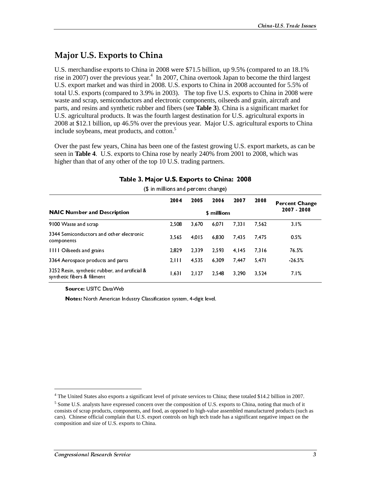## Major U.S. Exports to China

U.S. merchandise exports to China in 2008 were \$71.5 billion, up 9.5% (compared to an 18.1% rise in 2007) over the previous year.<sup>4</sup> In 2007, China overtook Japan to become the third largest U.S. export market and was third in 2008. U.S. exports to China in 2008 accounted for 5.5% of total U.S. exports (compared to 3.9% in 2003). The top five U.S. exports to China in 2008 were waste and scrap, semiconductors and electronic components, oilseeds and grain, aircraft and parts, and resins and synthetic rubber and fibers (see **Table 3**). China is a significant market for U.S. agricultural products. It was the fourth largest destination for U.S. agricultural exports in 2008 at \$12.1 billion, up 46.5% over the previous year. Major U.S. agricultural exports to China include soybeans, meat products, and cotton.<sup>5</sup>

Over the past few years, China has been one of the fastest growing U.S. export markets, as can be seen in **Table 4**. U.S. exports to China rose by nearly 240% from 2001 to 2008, which was higher than that of any other of the top 10 U.S. trading partners.

|                                                                                                                                                                                                                                                                                                                                                                               | $(\phi \text{ in } \mathfrak{m} \text{ times} \text{ and } \text{percent} \text{ change})$<br>2004 | 2005            | 2006           | 2007           | 2008           | <b>Percent Change</b> |
|-------------------------------------------------------------------------------------------------------------------------------------------------------------------------------------------------------------------------------------------------------------------------------------------------------------------------------------------------------------------------------|----------------------------------------------------------------------------------------------------|-----------------|----------------|----------------|----------------|-----------------------|
| <b>NAIC Number and Description</b>                                                                                                                                                                                                                                                                                                                                            |                                                                                                    |                 | \$ millions    |                |                | 2007 - 2008           |
| 9100 Waste and scrap<br>3344 Semiconductors and other electronic<br>components                                                                                                                                                                                                                                                                                                | 2,508<br>3,565                                                                                     | 3,670<br>4,015  | 6,071<br>6,830 | 7,331<br>7,435 | 7,562<br>7,475 | 3.1%<br>$0.5\%$       |
| 1111 Oilseeds and grains                                                                                                                                                                                                                                                                                                                                                      | 2,829                                                                                              | 2,339           | 2,593          | 4,145          | 7,316          | 76.5%                 |
| 3364 Aerospace products and parts<br>3252 Resin, synthetic rubber, and artificial &                                                                                                                                                                                                                                                                                           | 2, 111<br>1,631                                                                                    | 4,535<br>2, 127 | 6,309<br>2,548 | 7,447<br>3,290 | 5,47<br>3,524  | 26.5%<br>7.1%         |
| synthetic fibers & filiment<br>Source: USITC DataWeb                                                                                                                                                                                                                                                                                                                          |                                                                                                    |                 |                |                |                |                       |
| Notes: North American Industry Classification system, 4-digit level.                                                                                                                                                                                                                                                                                                          |                                                                                                    |                 |                |                |                |                       |
|                                                                                                                                                                                                                                                                                                                                                                               |                                                                                                    |                 |                |                |                |                       |
|                                                                                                                                                                                                                                                                                                                                                                               |                                                                                                    |                 |                |                |                |                       |
|                                                                                                                                                                                                                                                                                                                                                                               |                                                                                                    |                 |                |                |                |                       |
|                                                                                                                                                                                                                                                                                                                                                                               |                                                                                                    |                 |                |                |                |                       |
| <sup>4</sup> The United States also exports a significant level of private services to China; these totaled \$14.2 billion in 2007.                                                                                                                                                                                                                                           |                                                                                                    |                 |                |                |                |                       |
| <sup>5</sup> Some U.S. analysts have expressed concern over the composition of U.S. exports to China, noting that much of it<br>consists of scrap products, components, and food, as opposed to high-value assembled manufactured products (such as<br>cars). Chinese official complain that U.S. export controls on high tech trade has a significant negative impact on the |                                                                                                    |                 |                |                |                |                       |
| composition and size of U.S. exports to China.                                                                                                                                                                                                                                                                                                                                |                                                                                                    |                 |                |                |                |                       |
|                                                                                                                                                                                                                                                                                                                                                                               |                                                                                                    |                 |                |                |                |                       |
| Congressional Research Service                                                                                                                                                                                                                                                                                                                                                |                                                                                                    |                 |                |                |                | $\boldsymbol{\beta}$  |
|                                                                                                                                                                                                                                                                                                                                                                               |                                                                                                    |                 |                |                |                |                       |
|                                                                                                                                                                                                                                                                                                                                                                               |                                                                                                    |                 |                |                |                |                       |
|                                                                                                                                                                                                                                                                                                                                                                               |                                                                                                    |                 |                |                |                |                       |
|                                                                                                                                                                                                                                                                                                                                                                               |                                                                                                    |                 |                |                |                |                       |
|                                                                                                                                                                                                                                                                                                                                                                               |                                                                                                    |                 |                |                |                |                       |
|                                                                                                                                                                                                                                                                                                                                                                               |                                                                                                    |                 |                |                |                |                       |
|                                                                                                                                                                                                                                                                                                                                                                               |                                                                                                    |                 |                |                |                |                       |
|                                                                                                                                                                                                                                                                                                                                                                               |                                                                                                    |                 |                |                |                |                       |
|                                                                                                                                                                                                                                                                                                                                                                               |                                                                                                    |                 |                |                |                |                       |
|                                                                                                                                                                                                                                                                                                                                                                               |                                                                                                    |                 |                |                |                |                       |
|                                                                                                                                                                                                                                                                                                                                                                               |                                                                                                    |                 |                |                |                |                       |
|                                                                                                                                                                                                                                                                                                                                                                               |                                                                                                    |                 |                |                |                |                       |
|                                                                                                                                                                                                                                                                                                                                                                               |                                                                                                    |                 |                |                |                |                       |
|                                                                                                                                                                                                                                                                                                                                                                               |                                                                                                    |                 |                |                |                |                       |
|                                                                                                                                                                                                                                                                                                                                                                               |                                                                                                    |                 |                |                |                |                       |
|                                                                                                                                                                                                                                                                                                                                                                               |                                                                                                    |                 |                |                |                |                       |
|                                                                                                                                                                                                                                                                                                                                                                               |                                                                                                    |                 |                |                |                |                       |
|                                                                                                                                                                                                                                                                                                                                                                               |                                                                                                    |                 |                |                |                |                       |
|                                                                                                                                                                                                                                                                                                                                                                               |                                                                                                    |                 |                |                |                |                       |
|                                                                                                                                                                                                                                                                                                                                                                               |                                                                                                    |                 |                |                |                |                       |
|                                                                                                                                                                                                                                                                                                                                                                               |                                                                                                    |                 |                |                |                |                       |
|                                                                                                                                                                                                                                                                                                                                                                               |                                                                                                    |                 |                |                |                |                       |
|                                                                                                                                                                                                                                                                                                                                                                               |                                                                                                    |                 |                |                |                |                       |
|                                                                                                                                                                                                                                                                                                                                                                               |                                                                                                    |                 |                |                |                |                       |
|                                                                                                                                                                                                                                                                                                                                                                               |                                                                                                    |                 |                |                |                |                       |
|                                                                                                                                                                                                                                                                                                                                                                               |                                                                                                    |                 |                |                |                |                       |
|                                                                                                                                                                                                                                                                                                                                                                               |                                                                                                    |                 |                |                |                |                       |
|                                                                                                                                                                                                                                                                                                                                                                               |                                                                                                    |                 |                |                |                |                       |
|                                                                                                                                                                                                                                                                                                                                                                               |                                                                                                    |                 |                |                |                |                       |
|                                                                                                                                                                                                                                                                                                                                                                               |                                                                                                    |                 |                |                |                |                       |
|                                                                                                                                                                                                                                                                                                                                                                               |                                                                                                    |                 |                |                |                |                       |
|                                                                                                                                                                                                                                                                                                                                                                               |                                                                                                    |                 |                |                |                |                       |
|                                                                                                                                                                                                                                                                                                                                                                               |                                                                                                    |                 |                |                |                |                       |
|                                                                                                                                                                                                                                                                                                                                                                               |                                                                                                    |                 |                |                |                |                       |
|                                                                                                                                                                                                                                                                                                                                                                               |                                                                                                    |                 |                |                |                |                       |
|                                                                                                                                                                                                                                                                                                                                                                               |                                                                                                    |                 |                |                |                |                       |
|                                                                                                                                                                                                                                                                                                                                                                               |                                                                                                    |                 |                |                |                |                       |
|                                                                                                                                                                                                                                                                                                                                                                               |                                                                                                    |                 |                |                |                |                       |
|                                                                                                                                                                                                                                                                                                                                                                               |                                                                                                    |                 |                |                |                |                       |
|                                                                                                                                                                                                                                                                                                                                                                               |                                                                                                    |                 |                |                |                |                       |
|                                                                                                                                                                                                                                                                                                                                                                               |                                                                                                    |                 |                |                |                |                       |
|                                                                                                                                                                                                                                                                                                                                                                               |                                                                                                    |                 |                |                |                |                       |
|                                                                                                                                                                                                                                                                                                                                                                               |                                                                                                    |                 |                |                |                |                       |
|                                                                                                                                                                                                                                                                                                                                                                               |                                                                                                    |                 |                |                |                |                       |
|                                                                                                                                                                                                                                                                                                                                                                               |                                                                                                    |                 |                |                |                |                       |
|                                                                                                                                                                                                                                                                                                                                                                               |                                                                                                    |                 |                |                |                |                       |
|                                                                                                                                                                                                                                                                                                                                                                               |                                                                                                    |                 |                |                |                |                       |
|                                                                                                                                                                                                                                                                                                                                                                               |                                                                                                    |                 |                |                |                |                       |
|                                                                                                                                                                                                                                                                                                                                                                               |                                                                                                    |                 |                |                |                |                       |
|                                                                                                                                                                                                                                                                                                                                                                               |                                                                                                    |                 |                |                |                |                       |
|                                                                                                                                                                                                                                                                                                                                                                               |                                                                                                    |                 |                |                |                |                       |
|                                                                                                                                                                                                                                                                                                                                                                               |                                                                                                    |                 |                |                |                |                       |
|                                                                                                                                                                                                                                                                                                                                                                               |                                                                                                    |                 |                |                |                |                       |
|                                                                                                                                                                                                                                                                                                                                                                               |                                                                                                    |                 |                |                |                |                       |
|                                                                                                                                                                                                                                                                                                                                                                               |                                                                                                    |                 |                |                |                |                       |
|                                                                                                                                                                                                                                                                                                                                                                               |                                                                                                    |                 |                |                |                |                       |
|                                                                                                                                                                                                                                                                                                                                                                               |                                                                                                    |                 |                |                |                |                       |
|                                                                                                                                                                                                                                                                                                                                                                               |                                                                                                    |                 |                |                |                |                       |
|                                                                                                                                                                                                                                                                                                                                                                               |                                                                                                    |                 |                |                |                |                       |
|                                                                                                                                                                                                                                                                                                                                                                               |                                                                                                    |                 |                |                |                |                       |
|                                                                                                                                                                                                                                                                                                                                                                               |                                                                                                    |                 |                |                |                |                       |
|                                                                                                                                                                                                                                                                                                                                                                               |                                                                                                    |                 |                |                |                |                       |
|                                                                                                                                                                                                                                                                                                                                                                               |                                                                                                    |                 |                |                |                |                       |
|                                                                                                                                                                                                                                                                                                                                                                               |                                                                                                    |                 |                |                |                |                       |
|                                                                                                                                                                                                                                                                                                                                                                               |                                                                                                    |                 |                |                |                |                       |

# Table 3. Major U.S. Exports to China: 2008

<sup>&</sup>lt;sup>4</sup> The United States also exports a significant level of private services to China; these totaled \$14.2 billion in 2007.

 $<sup>5</sup>$  Some U.S. analysts have expressed concern over the composition of U.S. exports to China, noting that much of it</sup> consists of scrap products, components, and food, as opposed to high-value assembled manufactured products (such as cars). Chinese official complain that U.S. export controls on high tech trade has a significant negative impact on the composition and size of U.S. exports to China.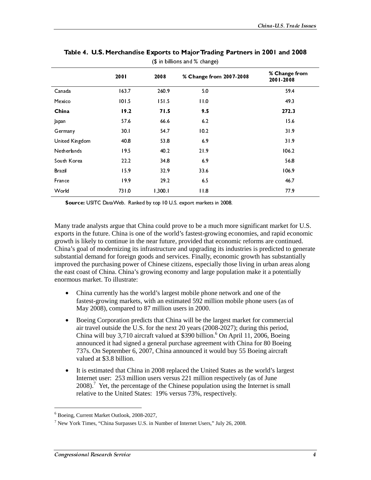|                                                                                                                                                                                                                                                                                                                                                                                                                                                                                                                                                                                                                                                                                                                                                                                                                                                                                                                                                                                                                                                                            | 2001                 | 2008                 | % Change from 2007-2008                                                                                                                                                                                                                                                                                                                                                                                                                                                                                                                                                                                                                                                                      | % Change from<br>2001-2008 |  |  |  |  |  |
|----------------------------------------------------------------------------------------------------------------------------------------------------------------------------------------------------------------------------------------------------------------------------------------------------------------------------------------------------------------------------------------------------------------------------------------------------------------------------------------------------------------------------------------------------------------------------------------------------------------------------------------------------------------------------------------------------------------------------------------------------------------------------------------------------------------------------------------------------------------------------------------------------------------------------------------------------------------------------------------------------------------------------------------------------------------------------|----------------------|----------------------|----------------------------------------------------------------------------------------------------------------------------------------------------------------------------------------------------------------------------------------------------------------------------------------------------------------------------------------------------------------------------------------------------------------------------------------------------------------------------------------------------------------------------------------------------------------------------------------------------------------------------------------------------------------------------------------------|----------------------------|--|--|--|--|--|
| Canada<br>Mexico                                                                                                                                                                                                                                                                                                                                                                                                                                                                                                                                                                                                                                                                                                                                                                                                                                                                                                                                                                                                                                                           | 163.7<br>101.5       | 260.9<br>151.5       | 5.0<br>11.0                                                                                                                                                                                                                                                                                                                                                                                                                                                                                                                                                                                                                                                                                  | 59.4<br>49.3               |  |  |  |  |  |
| China<br>Japan                                                                                                                                                                                                                                                                                                                                                                                                                                                                                                                                                                                                                                                                                                                                                                                                                                                                                                                                                                                                                                                             | 19.2<br>57.6         | 71.5<br>66.6         | 9.5<br>6.2                                                                                                                                                                                                                                                                                                                                                                                                                                                                                                                                                                                                                                                                                   | 272.3<br>15.6              |  |  |  |  |  |
| Germany<br>United Kingdom<br>Netherlands                                                                                                                                                                                                                                                                                                                                                                                                                                                                                                                                                                                                                                                                                                                                                                                                                                                                                                                                                                                                                                   | 30.1<br>40.8<br>19.5 | 54.7<br>53.8<br>40.2 | 10.2<br>6.9<br>21.9                                                                                                                                                                                                                                                                                                                                                                                                                                                                                                                                                                                                                                                                          | 31.9<br>31.9<br>106.2      |  |  |  |  |  |
| South Korea<br>Brazil                                                                                                                                                                                                                                                                                                                                                                                                                                                                                                                                                                                                                                                                                                                                                                                                                                                                                                                                                                                                                                                      | 22.2<br>15.9         | 34.8<br>32.9         | 6.9<br>33.6                                                                                                                                                                                                                                                                                                                                                                                                                                                                                                                                                                                                                                                                                  | 56.8<br>106.9              |  |  |  |  |  |
| France<br>World                                                                                                                                                                                                                                                                                                                                                                                                                                                                                                                                                                                                                                                                                                                                                                                                                                                                                                                                                                                                                                                            | 19.9<br>731.0        | 29.2<br>1,300.1      | 6.5<br>11.8                                                                                                                                                                                                                                                                                                                                                                                                                                                                                                                                                                                                                                                                                  | 46.7<br>77.9               |  |  |  |  |  |
|                                                                                                                                                                                                                                                                                                                                                                                                                                                                                                                                                                                                                                                                                                                                                                                                                                                                                                                                                                                                                                                                            |                      |                      | Source: USITC DataWeb. Ranked by top 10 U.S. export markets in 2008.                                                                                                                                                                                                                                                                                                                                                                                                                                                                                                                                                                                                                         |                            |  |  |  |  |  |
| Many trade analysts argue that China could prove to be a much more significant market for U.S.<br>exports in the future. China is one of the world's fastest-growing economies, and rapid economic<br>growth is likely to continue in the near future, provided that economic reforms are continued.<br>China's goal of modernizing its infrastructure and upgrading its industries is predicted to generate<br>substantial demand for foreign goods and services. Finally, economic growth has substantially<br>improved the purchasing power of Chinese citizens, especially those living in urban areas along<br>the east coast of China. China's growing economy and large population make it a potentially<br>enormous market. To illustrate:<br>China currently has the world's largest mobile phone network and one of the<br>$\bullet$<br>fastest-growing markets, with an estimated 592 million mobile phone users (as of<br>May 2008), compared to 87 million users in 2000.<br>Boeing Corporation predicts that China will be the largest market for commercial |                      |                      |                                                                                                                                                                                                                                                                                                                                                                                                                                                                                                                                                                                                                                                                                              |                            |  |  |  |  |  |
| valued at \$3.8 billion.<br>$\bullet$                                                                                                                                                                                                                                                                                                                                                                                                                                                                                                                                                                                                                                                                                                                                                                                                                                                                                                                                                                                                                                      |                      |                      | air travel outside the U.S. for the next 20 years (2008-2027); during this period,<br>China will buy 3,710 aircraft valued at \$390 billion. <sup>6</sup> On April 11, 2006, Boeing<br>announced it had signed a general purchase agreement with China for 80 Boeing<br>737s. On September 6, 2007, China announced it would buy 55 Boeing aircraft<br>It is estimated that China in 2008 replaced the United States as the world's largest<br>Internet user: 253 million users versus 221 million respectively (as of June<br>2008). <sup>7</sup> Yet, the percentage of the Chinese population using the Internet is small<br>relative to the United States: 19% versus 73%, respectively. |                            |  |  |  |  |  |
| <sup>6</sup> Boeing, Current Market Outlook, 2008-2027,                                                                                                                                                                                                                                                                                                                                                                                                                                                                                                                                                                                                                                                                                                                                                                                                                                                                                                                                                                                                                    |                      |                      | $7$ New York Times, "China Surpasses U.S. in Number of Internet Users," July 26, 2008.                                                                                                                                                                                                                                                                                                                                                                                                                                                                                                                                                                                                       |                            |  |  |  |  |  |
|                                                                                                                                                                                                                                                                                                                                                                                                                                                                                                                                                                                                                                                                                                                                                                                                                                                                                                                                                                                                                                                                            |                      |                      |                                                                                                                                                                                                                                                                                                                                                                                                                                                                                                                                                                                                                                                                                              |                            |  |  |  |  |  |
| Congressional Research Service                                                                                                                                                                                                                                                                                                                                                                                                                                                                                                                                                                                                                                                                                                                                                                                                                                                                                                                                                                                                                                             |                      |                      |                                                                                                                                                                                                                                                                                                                                                                                                                                                                                                                                                                                                                                                                                              | 4                          |  |  |  |  |  |
|                                                                                                                                                                                                                                                                                                                                                                                                                                                                                                                                                                                                                                                                                                                                                                                                                                                                                                                                                                                                                                                                            |                      |                      |                                                                                                                                                                                                                                                                                                                                                                                                                                                                                                                                                                                                                                                                                              |                            |  |  |  |  |  |
|                                                                                                                                                                                                                                                                                                                                                                                                                                                                                                                                                                                                                                                                                                                                                                                                                                                                                                                                                                                                                                                                            |                      |                      |                                                                                                                                                                                                                                                                                                                                                                                                                                                                                                                                                                                                                                                                                              |                            |  |  |  |  |  |
|                                                                                                                                                                                                                                                                                                                                                                                                                                                                                                                                                                                                                                                                                                                                                                                                                                                                                                                                                                                                                                                                            |                      |                      |                                                                                                                                                                                                                                                                                                                                                                                                                                                                                                                                                                                                                                                                                              |                            |  |  |  |  |  |
|                                                                                                                                                                                                                                                                                                                                                                                                                                                                                                                                                                                                                                                                                                                                                                                                                                                                                                                                                                                                                                                                            |                      |                      |                                                                                                                                                                                                                                                                                                                                                                                                                                                                                                                                                                                                                                                                                              |                            |  |  |  |  |  |
|                                                                                                                                                                                                                                                                                                                                                                                                                                                                                                                                                                                                                                                                                                                                                                                                                                                                                                                                                                                                                                                                            |                      |                      |                                                                                                                                                                                                                                                                                                                                                                                                                                                                                                                                                                                                                                                                                              |                            |  |  |  |  |  |
|                                                                                                                                                                                                                                                                                                                                                                                                                                                                                                                                                                                                                                                                                                                                                                                                                                                                                                                                                                                                                                                                            |                      |                      |                                                                                                                                                                                                                                                                                                                                                                                                                                                                                                                                                                                                                                                                                              |                            |  |  |  |  |  |
|                                                                                                                                                                                                                                                                                                                                                                                                                                                                                                                                                                                                                                                                                                                                                                                                                                                                                                                                                                                                                                                                            |                      |                      |                                                                                                                                                                                                                                                                                                                                                                                                                                                                                                                                                                                                                                                                                              |                            |  |  |  |  |  |
|                                                                                                                                                                                                                                                                                                                                                                                                                                                                                                                                                                                                                                                                                                                                                                                                                                                                                                                                                                                                                                                                            |                      |                      |                                                                                                                                                                                                                                                                                                                                                                                                                                                                                                                                                                                                                                                                                              |                            |  |  |  |  |  |
|                                                                                                                                                                                                                                                                                                                                                                                                                                                                                                                                                                                                                                                                                                                                                                                                                                                                                                                                                                                                                                                                            |                      |                      |                                                                                                                                                                                                                                                                                                                                                                                                                                                                                                                                                                                                                                                                                              |                            |  |  |  |  |  |
|                                                                                                                                                                                                                                                                                                                                                                                                                                                                                                                                                                                                                                                                                                                                                                                                                                                                                                                                                                                                                                                                            |                      |                      |                                                                                                                                                                                                                                                                                                                                                                                                                                                                                                                                                                                                                                                                                              |                            |  |  |  |  |  |
|                                                                                                                                                                                                                                                                                                                                                                                                                                                                                                                                                                                                                                                                                                                                                                                                                                                                                                                                                                                                                                                                            |                      |                      |                                                                                                                                                                                                                                                                                                                                                                                                                                                                                                                                                                                                                                                                                              |                            |  |  |  |  |  |
|                                                                                                                                                                                                                                                                                                                                                                                                                                                                                                                                                                                                                                                                                                                                                                                                                                                                                                                                                                                                                                                                            |                      |                      |                                                                                                                                                                                                                                                                                                                                                                                                                                                                                                                                                                                                                                                                                              |                            |  |  |  |  |  |
|                                                                                                                                                                                                                                                                                                                                                                                                                                                                                                                                                                                                                                                                                                                                                                                                                                                                                                                                                                                                                                                                            |                      |                      |                                                                                                                                                                                                                                                                                                                                                                                                                                                                                                                                                                                                                                                                                              |                            |  |  |  |  |  |
|                                                                                                                                                                                                                                                                                                                                                                                                                                                                                                                                                                                                                                                                                                                                                                                                                                                                                                                                                                                                                                                                            |                      |                      |                                                                                                                                                                                                                                                                                                                                                                                                                                                                                                                                                                                                                                                                                              |                            |  |  |  |  |  |
|                                                                                                                                                                                                                                                                                                                                                                                                                                                                                                                                                                                                                                                                                                                                                                                                                                                                                                                                                                                                                                                                            |                      |                      |                                                                                                                                                                                                                                                                                                                                                                                                                                                                                                                                                                                                                                                                                              |                            |  |  |  |  |  |
|                                                                                                                                                                                                                                                                                                                                                                                                                                                                                                                                                                                                                                                                                                                                                                                                                                                                                                                                                                                                                                                                            |                      |                      |                                                                                                                                                                                                                                                                                                                                                                                                                                                                                                                                                                                                                                                                                              |                            |  |  |  |  |  |
|                                                                                                                                                                                                                                                                                                                                                                                                                                                                                                                                                                                                                                                                                                                                                                                                                                                                                                                                                                                                                                                                            |                      |                      |                                                                                                                                                                                                                                                                                                                                                                                                                                                                                                                                                                                                                                                                                              |                            |  |  |  |  |  |
|                                                                                                                                                                                                                                                                                                                                                                                                                                                                                                                                                                                                                                                                                                                                                                                                                                                                                                                                                                                                                                                                            |                      |                      |                                                                                                                                                                                                                                                                                                                                                                                                                                                                                                                                                                                                                                                                                              |                            |  |  |  |  |  |
|                                                                                                                                                                                                                                                                                                                                                                                                                                                                                                                                                                                                                                                                                                                                                                                                                                                                                                                                                                                                                                                                            |                      |                      |                                                                                                                                                                                                                                                                                                                                                                                                                                                                                                                                                                                                                                                                                              |                            |  |  |  |  |  |
|                                                                                                                                                                                                                                                                                                                                                                                                                                                                                                                                                                                                                                                                                                                                                                                                                                                                                                                                                                                                                                                                            |                      |                      |                                                                                                                                                                                                                                                                                                                                                                                                                                                                                                                                                                                                                                                                                              |                            |  |  |  |  |  |
|                                                                                                                                                                                                                                                                                                                                                                                                                                                                                                                                                                                                                                                                                                                                                                                                                                                                                                                                                                                                                                                                            |                      |                      |                                                                                                                                                                                                                                                                                                                                                                                                                                                                                                                                                                                                                                                                                              |                            |  |  |  |  |  |
|                                                                                                                                                                                                                                                                                                                                                                                                                                                                                                                                                                                                                                                                                                                                                                                                                                                                                                                                                                                                                                                                            |                      |                      |                                                                                                                                                                                                                                                                                                                                                                                                                                                                                                                                                                                                                                                                                              |                            |  |  |  |  |  |
|                                                                                                                                                                                                                                                                                                                                                                                                                                                                                                                                                                                                                                                                                                                                                                                                                                                                                                                                                                                                                                                                            |                      |                      |                                                                                                                                                                                                                                                                                                                                                                                                                                                                                                                                                                                                                                                                                              |                            |  |  |  |  |  |
|                                                                                                                                                                                                                                                                                                                                                                                                                                                                                                                                                                                                                                                                                                                                                                                                                                                                                                                                                                                                                                                                            |                      |                      |                                                                                                                                                                                                                                                                                                                                                                                                                                                                                                                                                                                                                                                                                              |                            |  |  |  |  |  |
|                                                                                                                                                                                                                                                                                                                                                                                                                                                                                                                                                                                                                                                                                                                                                                                                                                                                                                                                                                                                                                                                            |                      |                      |                                                                                                                                                                                                                                                                                                                                                                                                                                                                                                                                                                                                                                                                                              |                            |  |  |  |  |  |
|                                                                                                                                                                                                                                                                                                                                                                                                                                                                                                                                                                                                                                                                                                                                                                                                                                                                                                                                                                                                                                                                            |                      |                      |                                                                                                                                                                                                                                                                                                                                                                                                                                                                                                                                                                                                                                                                                              |                            |  |  |  |  |  |
|                                                                                                                                                                                                                                                                                                                                                                                                                                                                                                                                                                                                                                                                                                                                                                                                                                                                                                                                                                                                                                                                            |                      |                      |                                                                                                                                                                                                                                                                                                                                                                                                                                                                                                                                                                                                                                                                                              |                            |  |  |  |  |  |
|                                                                                                                                                                                                                                                                                                                                                                                                                                                                                                                                                                                                                                                                                                                                                                                                                                                                                                                                                                                                                                                                            |                      |                      |                                                                                                                                                                                                                                                                                                                                                                                                                                                                                                                                                                                                                                                                                              |                            |  |  |  |  |  |
|                                                                                                                                                                                                                                                                                                                                                                                                                                                                                                                                                                                                                                                                                                                                                                                                                                                                                                                                                                                                                                                                            |                      |                      |                                                                                                                                                                                                                                                                                                                                                                                                                                                                                                                                                                                                                                                                                              |                            |  |  |  |  |  |
|                                                                                                                                                                                                                                                                                                                                                                                                                                                                                                                                                                                                                                                                                                                                                                                                                                                                                                                                                                                                                                                                            |                      |                      |                                                                                                                                                                                                                                                                                                                                                                                                                                                                                                                                                                                                                                                                                              |                            |  |  |  |  |  |
|                                                                                                                                                                                                                                                                                                                                                                                                                                                                                                                                                                                                                                                                                                                                                                                                                                                                                                                                                                                                                                                                            |                      |                      |                                                                                                                                                                                                                                                                                                                                                                                                                                                                                                                                                                                                                                                                                              |                            |  |  |  |  |  |
|                                                                                                                                                                                                                                                                                                                                                                                                                                                                                                                                                                                                                                                                                                                                                                                                                                                                                                                                                                                                                                                                            |                      |                      |                                                                                                                                                                                                                                                                                                                                                                                                                                                                                                                                                                                                                                                                                              |                            |  |  |  |  |  |
|                                                                                                                                                                                                                                                                                                                                                                                                                                                                                                                                                                                                                                                                                                                                                                                                                                                                                                                                                                                                                                                                            |                      |                      |                                                                                                                                                                                                                                                                                                                                                                                                                                                                                                                                                                                                                                                                                              |                            |  |  |  |  |  |
|                                                                                                                                                                                                                                                                                                                                                                                                                                                                                                                                                                                                                                                                                                                                                                                                                                                                                                                                                                                                                                                                            |                      |                      |                                                                                                                                                                                                                                                                                                                                                                                                                                                                                                                                                                                                                                                                                              |                            |  |  |  |  |  |
|                                                                                                                                                                                                                                                                                                                                                                                                                                                                                                                                                                                                                                                                                                                                                                                                                                                                                                                                                                                                                                                                            |                      |                      |                                                                                                                                                                                                                                                                                                                                                                                                                                                                                                                                                                                                                                                                                              |                            |  |  |  |  |  |
|                                                                                                                                                                                                                                                                                                                                                                                                                                                                                                                                                                                                                                                                                                                                                                                                                                                                                                                                                                                                                                                                            |                      |                      |                                                                                                                                                                                                                                                                                                                                                                                                                                                                                                                                                                                                                                                                                              |                            |  |  |  |  |  |
|                                                                                                                                                                                                                                                                                                                                                                                                                                                                                                                                                                                                                                                                                                                                                                                                                                                                                                                                                                                                                                                                            |                      |                      |                                                                                                                                                                                                                                                                                                                                                                                                                                                                                                                                                                                                                                                                                              |                            |  |  |  |  |  |
|                                                                                                                                                                                                                                                                                                                                                                                                                                                                                                                                                                                                                                                                                                                                                                                                                                                                                                                                                                                                                                                                            |                      |                      |                                                                                                                                                                                                                                                                                                                                                                                                                                                                                                                                                                                                                                                                                              |                            |  |  |  |  |  |
|                                                                                                                                                                                                                                                                                                                                                                                                                                                                                                                                                                                                                                                                                                                                                                                                                                                                                                                                                                                                                                                                            |                      |                      |                                                                                                                                                                                                                                                                                                                                                                                                                                                                                                                                                                                                                                                                                              |                            |  |  |  |  |  |
|                                                                                                                                                                                                                                                                                                                                                                                                                                                                                                                                                                                                                                                                                                                                                                                                                                                                                                                                                                                                                                                                            |                      |                      |                                                                                                                                                                                                                                                                                                                                                                                                                                                                                                                                                                                                                                                                                              |                            |  |  |  |  |  |
|                                                                                                                                                                                                                                                                                                                                                                                                                                                                                                                                                                                                                                                                                                                                                                                                                                                                                                                                                                                                                                                                            |                      |                      |                                                                                                                                                                                                                                                                                                                                                                                                                                                                                                                                                                                                                                                                                              |                            |  |  |  |  |  |
|                                                                                                                                                                                                                                                                                                                                                                                                                                                                                                                                                                                                                                                                                                                                                                                                                                                                                                                                                                                                                                                                            |                      |                      |                                                                                                                                                                                                                                                                                                                                                                                                                                                                                                                                                                                                                                                                                              |                            |  |  |  |  |  |
|                                                                                                                                                                                                                                                                                                                                                                                                                                                                                                                                                                                                                                                                                                                                                                                                                                                                                                                                                                                                                                                                            |                      |                      |                                                                                                                                                                                                                                                                                                                                                                                                                                                                                                                                                                                                                                                                                              |                            |  |  |  |  |  |

Table 4. U.S. Merchandise Exports to Major Trading Partners in 2001 and 2008<br>(\$ in billions and % change)

- China currently has the world's largest mobile phone network and one of the fastest-growing markets, with an estimated 592 million mobile phone users (as of May 2008), compared to 87 million users in 2000.
- Boeing Corporation predicts that China will be the largest market for commercial air travel outside the U.S. for the next 20 years (2008-2027); during this period, China will buy 3,710 aircraft valued at \$390 billion.<sup>6</sup> On April 11, 2006, Boeing announced it had signed a general purchase agreement with China for 80 Boeing 737s. On September 6, 2007, China announced it would buy 55 Boeing aircraft valued at \$3.8 billion.
- It is estimated that China in 2008 replaced the United States as the world's largest Internet user: 253 million users versus 221 million respectively (as of June  $2008$ ).<sup>7</sup> Yet, the percentage of the Chinese population using the Internet is small relative to the United States: 19% versus 73%, respectively.

<sup>6</sup> Boeing, Current Market Outlook, 2008-2027,

 $^7$  New York Times, "China Surpasses U.S. in Number of Internet Users," July 26, 2008.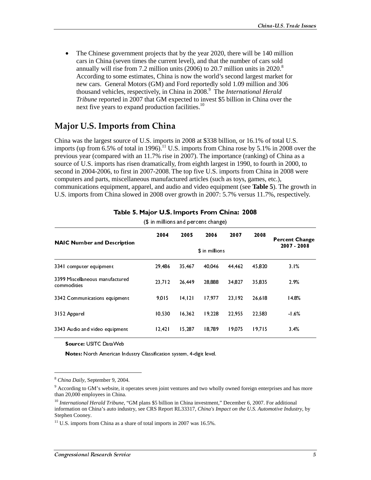The Chinese government projects that by the year 2020, there will be 140 million cars in China (seven times the current level), and that the number of cars sold annually will rise from 7.2 million units (2006) to 20.7 million units in  $2020$ .<sup>8</sup> According to some estimates, China is now the world's second largest market for new cars. General Motors (GM) and Ford reportedly sold 1.09 million and 306 thousand vehicles, respectively, in China in 2008.<sup>9</sup> The *International Herald Tribune* reported in 2007 that GM expected to invest \$5 billion in China over the next five years to expand production facilities.<sup>10</sup>

### Major U.S. Imports from China

China was the largest source of U.S. imports in 2008 at \$338 billion, or 16.1% of total U.S. imports (up from 6.5% of total in 1996).<sup>11</sup> U.S. imports from China rose by 5.1% in 2008 over the previous year (compared with an 11.7% rise in 2007). The importance (ranking) of China as a source of U.S. imports has risen dramatically, from eighth largest in 1990, to fourth in 2000, to second in 2004-2006, to first in 2007-2008. The top five U.S. imports from China in 2008 were computers and parts, miscellaneous manufactured articles (such as toys, games, etc.), communications equipment, apparel, and audio and video equipment (see **Table 5**). The growth in U.S. imports from China slowed in 2008 over growth in 2007: 5.7% versus 11.7%, respectively.

|                                                                                                                                                                                                                                                                                                                                                                                                                                                                             | 2004   | (with the percent change)<br>2005 | 2006           | 2007   | 2008   |                               |
|-----------------------------------------------------------------------------------------------------------------------------------------------------------------------------------------------------------------------------------------------------------------------------------------------------------------------------------------------------------------------------------------------------------------------------------------------------------------------------|--------|-----------------------------------|----------------|--------|--------|-------------------------------|
| <b>NAIC Number and Description</b>                                                                                                                                                                                                                                                                                                                                                                                                                                          |        |                                   | \$ in millions |        |        | Percent Change<br>2007 - 2008 |
| 3341 computer equipment                                                                                                                                                                                                                                                                                                                                                                                                                                                     | 29,486 | 35,467                            | 40,046         | 44,462 | 45,820 | 3.1%                          |
| 3399 Miscellaneous manufactured<br>commodities                                                                                                                                                                                                                                                                                                                                                                                                                              | 23,712 | 26,449                            | 28,888         | 34,827 | 35,835 | 2.9%                          |
| 3342 Communications equipment                                                                                                                                                                                                                                                                                                                                                                                                                                               | 9,015  | 14, 121                           | 17,977         | 23,192 | 26,618 | 14.8%                         |
| 3152 Apparel                                                                                                                                                                                                                                                                                                                                                                                                                                                                | 10,530 | 16,362                            | 19,228         | 22,955 | 22,583 | $-1.6%$                       |
| 3343 Audio and video equipment                                                                                                                                                                                                                                                                                                                                                                                                                                              | 12,421 | 15,287                            | 18,789         | 19,075 | 19,715 | 3.4%                          |
| Source: USITC DataWeb<br>Notes: North American Industry Classification system, 4-digit level.                                                                                                                                                                                                                                                                                                                                                                               |        |                                   |                |        |        |                               |
|                                                                                                                                                                                                                                                                                                                                                                                                                                                                             |        |                                   |                |        |        |                               |
| <sup>8</sup> China Daily, September 9, 2004.<br><sup>9</sup> According to GM's website, it operates seven joint ventures and two wholly owned foreign enterprises and has more<br>than 20,000 employees in China.<br>$10$ International Herald Tribune, "GM plans \$5 billion in China investment," December 6, 2007. For additional<br>information on China's auto industry, see CRS Report RL33317, China's Impact on the U.S. Automotive Industry, by<br>Stephen Cooney. |        |                                   |                |        |        |                               |
| $^{11}$ U.S. imports from China as a share of total imports in 2007 was 16.5%.                                                                                                                                                                                                                                                                                                                                                                                              |        |                                   |                |        |        |                               |
| Congressional Research Service                                                                                                                                                                                                                                                                                                                                                                                                                                              |        |                                   |                |        |        | 5                             |
|                                                                                                                                                                                                                                                                                                                                                                                                                                                                             |        |                                   |                |        |        |                               |
|                                                                                                                                                                                                                                                                                                                                                                                                                                                                             |        |                                   |                |        |        |                               |
|                                                                                                                                                                                                                                                                                                                                                                                                                                                                             |        |                                   |                |        |        |                               |
|                                                                                                                                                                                                                                                                                                                                                                                                                                                                             |        |                                   |                |        |        |                               |
|                                                                                                                                                                                                                                                                                                                                                                                                                                                                             |        |                                   |                |        |        |                               |
|                                                                                                                                                                                                                                                                                                                                                                                                                                                                             |        |                                   |                |        |        |                               |
|                                                                                                                                                                                                                                                                                                                                                                                                                                                                             |        |                                   |                |        |        |                               |
|                                                                                                                                                                                                                                                                                                                                                                                                                                                                             |        |                                   |                |        |        |                               |
|                                                                                                                                                                                                                                                                                                                                                                                                                                                                             |        |                                   |                |        |        |                               |
|                                                                                                                                                                                                                                                                                                                                                                                                                                                                             |        |                                   |                |        |        |                               |
|                                                                                                                                                                                                                                                                                                                                                                                                                                                                             |        |                                   |                |        |        |                               |
|                                                                                                                                                                                                                                                                                                                                                                                                                                                                             |        |                                   |                |        |        |                               |
|                                                                                                                                                                                                                                                                                                                                                                                                                                                                             |        |                                   |                |        |        |                               |
|                                                                                                                                                                                                                                                                                                                                                                                                                                                                             |        |                                   |                |        |        |                               |
|                                                                                                                                                                                                                                                                                                                                                                                                                                                                             |        |                                   |                |        |        |                               |
|                                                                                                                                                                                                                                                                                                                                                                                                                                                                             |        |                                   |                |        |        |                               |
|                                                                                                                                                                                                                                                                                                                                                                                                                                                                             |        |                                   |                |        |        |                               |
|                                                                                                                                                                                                                                                                                                                                                                                                                                                                             |        |                                   |                |        |        |                               |
|                                                                                                                                                                                                                                                                                                                                                                                                                                                                             |        |                                   |                |        |        |                               |
|                                                                                                                                                                                                                                                                                                                                                                                                                                                                             |        |                                   |                |        |        |                               |
|                                                                                                                                                                                                                                                                                                                                                                                                                                                                             |        |                                   |                |        |        |                               |
|                                                                                                                                                                                                                                                                                                                                                                                                                                                                             |        |                                   |                |        |        |                               |
|                                                                                                                                                                                                                                                                                                                                                                                                                                                                             |        |                                   |                |        |        |                               |
|                                                                                                                                                                                                                                                                                                                                                                                                                                                                             |        |                                   |                |        |        |                               |
|                                                                                                                                                                                                                                                                                                                                                                                                                                                                             |        |                                   |                |        |        |                               |
|                                                                                                                                                                                                                                                                                                                                                                                                                                                                             |        |                                   |                |        |        |                               |
|                                                                                                                                                                                                                                                                                                                                                                                                                                                                             |        |                                   |                |        |        |                               |
|                                                                                                                                                                                                                                                                                                                                                                                                                                                                             |        |                                   |                |        |        |                               |
|                                                                                                                                                                                                                                                                                                                                                                                                                                                                             |        |                                   |                |        |        |                               |
|                                                                                                                                                                                                                                                                                                                                                                                                                                                                             |        |                                   |                |        |        |                               |
|                                                                                                                                                                                                                                                                                                                                                                                                                                                                             |        |                                   |                |        |        |                               |
|                                                                                                                                                                                                                                                                                                                                                                                                                                                                             |        |                                   |                |        |        |                               |
|                                                                                                                                                                                                                                                                                                                                                                                                                                                                             |        |                                   |                |        |        |                               |
|                                                                                                                                                                                                                                                                                                                                                                                                                                                                             |        |                                   |                |        |        |                               |
|                                                                                                                                                                                                                                                                                                                                                                                                                                                                             |        |                                   |                |        |        |                               |
|                                                                                                                                                                                                                                                                                                                                                                                                                                                                             |        |                                   |                |        |        |                               |
|                                                                                                                                                                                                                                                                                                                                                                                                                                                                             |        |                                   |                |        |        |                               |
|                                                                                                                                                                                                                                                                                                                                                                                                                                                                             |        |                                   |                |        |        |                               |
|                                                                                                                                                                                                                                                                                                                                                                                                                                                                             |        |                                   |                |        |        |                               |
|                                                                                                                                                                                                                                                                                                                                                                                                                                                                             |        |                                   |                |        |        |                               |
|                                                                                                                                                                                                                                                                                                                                                                                                                                                                             |        |                                   |                |        |        |                               |
|                                                                                                                                                                                                                                                                                                                                                                                                                                                                             |        |                                   |                |        |        |                               |
|                                                                                                                                                                                                                                                                                                                                                                                                                                                                             |        |                                   |                |        |        |                               |
|                                                                                                                                                                                                                                                                                                                                                                                                                                                                             |        |                                   |                |        |        |                               |
|                                                                                                                                                                                                                                                                                                                                                                                                                                                                             |        |                                   |                |        |        |                               |
|                                                                                                                                                                                                                                                                                                                                                                                                                                                                             |        |                                   |                |        |        |                               |
|                                                                                                                                                                                                                                                                                                                                                                                                                                                                             |        |                                   |                |        |        |                               |
|                                                                                                                                                                                                                                                                                                                                                                                                                                                                             |        |                                   |                |        |        |                               |
|                                                                                                                                                                                                                                                                                                                                                                                                                                                                             |        |                                   |                |        |        |                               |
|                                                                                                                                                                                                                                                                                                                                                                                                                                                                             |        |                                   |                |        |        |                               |
|                                                                                                                                                                                                                                                                                                                                                                                                                                                                             |        |                                   |                |        |        |                               |
|                                                                                                                                                                                                                                                                                                                                                                                                                                                                             |        |                                   |                |        |        |                               |
|                                                                                                                                                                                                                                                                                                                                                                                                                                                                             |        |                                   |                |        |        |                               |
|                                                                                                                                                                                                                                                                                                                                                                                                                                                                             |        |                                   |                |        |        |                               |
|                                                                                                                                                                                                                                                                                                                                                                                                                                                                             |        |                                   |                |        |        |                               |
|                                                                                                                                                                                                                                                                                                                                                                                                                                                                             |        |                                   |                |        |        |                               |
|                                                                                                                                                                                                                                                                                                                                                                                                                                                                             |        |                                   |                |        |        |                               |
|                                                                                                                                                                                                                                                                                                                                                                                                                                                                             |        |                                   |                |        |        |                               |
|                                                                                                                                                                                                                                                                                                                                                                                                                                                                             |        |                                   |                |        |        |                               |
|                                                                                                                                                                                                                                                                                                                                                                                                                                                                             |        |                                   |                |        |        |                               |
|                                                                                                                                                                                                                                                                                                                                                                                                                                                                             |        |                                   |                |        |        |                               |
|                                                                                                                                                                                                                                                                                                                                                                                                                                                                             |        |                                   |                |        |        |                               |
|                                                                                                                                                                                                                                                                                                                                                                                                                                                                             |        |                                   |                |        |        |                               |
|                                                                                                                                                                                                                                                                                                                                                                                                                                                                             |        |                                   |                |        |        |                               |
|                                                                                                                                                                                                                                                                                                                                                                                                                                                                             |        |                                   |                |        |        |                               |
|                                                                                                                                                                                                                                                                                                                                                                                                                                                                             |        |                                   |                |        |        |                               |
|                                                                                                                                                                                                                                                                                                                                                                                                                                                                             |        |                                   |                |        |        |                               |
|                                                                                                                                                                                                                                                                                                                                                                                                                                                                             |        |                                   |                |        |        |                               |

# Table 5. Major U.S. Imports From China: 2008<br>(\$ in millions and percent change)

<sup>8</sup> *China Daily*, September 9, 2004.

<sup>&</sup>lt;sup>9</sup> According to GM's website, it operates seven joint ventures and two wholly owned foreign enterprises and has more than 20,000 employees in China.

**Source:** USITC DataWeb<br> **Notes:** North American In<br>
ma Daily, September 9, 200<br>
cording to GM's website, it<br>
20,000 employees in China.<br> *ernational Herald Tribune*,<br>
mation on China's auto indu<br>
nen Cooney.<br>
S. imports f <sup>10</sup> *International Herald Tribune*, "GM plans \$5 billion in China investment," December 6, 2007. For additional information on China's auto industry, see CRS Report RL33317, *China's Impact on the U.S. Automotive Industry*, by Stephen Cooney.

 $11$  U.S. imports from China as a share of total imports in 2007 was 16.5%.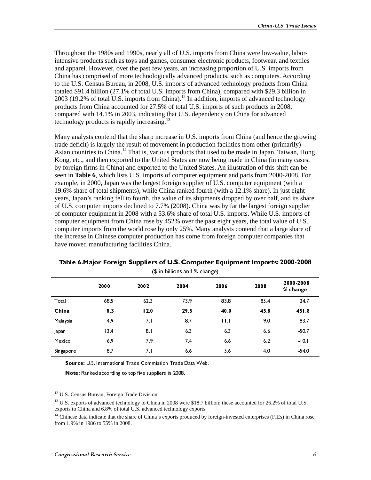Throughout the 1980s and 1990s, nearly all of U.S. imports from China were low-value, laborintensive products such as toys and games, consumer electronic products, footwear, and textiles and apparel. However, over the past few years, an increasing proportion of U.S. imports from China has comprised of more technologically advanced products, such as computers. According to the U.S. Census Bureau, in 2008, U.S. imports of advanced technology products from China totaled \$91.4 billion (27.1% of total U.S. imports from China), compared with \$29.3 billion in 2003 (19.2% of total U.S. imports from China).<sup>12</sup> In addition, imports of advanced technology products from China accounted for 27.5% of total U.S. imports of such products in 2008, compared with 14.1% in 2003, indicating that U.S. dependency on China for advanced technology products is rapidly increasing.<sup>13</sup>

Many analysts contend that the sharp increase in U.S. imports from China (and hence the growing trade deficit) is largely the result of movement in production facilities from other (primarily) Asian countries to China.<sup>14</sup> That is, various products that used to be made in Japan, Taiwan, Hong Kong, etc., and then exported to the United States are now being made in China (in many cases, by foreign firms in China) and exported to the United States. An illustration of this shift can be seen in **Table 6**, which lists U.S. imports of computer equipment and parts from 2000-2008. For example, in 2000, Japan was the largest foreign supplier of U.S. computer equipment (with a 19.6% share of total shipments), while China ranked fourth (with a 12.1% share). In just eight years, Japan's ranking fell to fourth, the value of its shipments dropped by over half, and its share of U.S. computer imports declined to 7.7% (2008). China was by far the largest foreign supplier of computer equipment in 2008 with a 53.6% share of total U.S. imports. While U.S. imports of computer equipment from China rose by 452% over the past eight years, the total value of U.S. computer imports from the world rose by only 25%. Many analysts contend that a large share of the increase in Chinese computer production has come from foreign computer companies that have moved manufacturing facilities China.

|                     | 2000                                                                                                               | 2002         | 2004           | 2006                                                                                                                                | 2008               | 2000-2008<br>% change |
|---------------------|--------------------------------------------------------------------------------------------------------------------|--------------|----------------|-------------------------------------------------------------------------------------------------------------------------------------|--------------------|-----------------------|
| Total<br>China      | 68.5<br>8.3                                                                                                        | 62.3<br>12.0 | 73.9<br>29.5   | 83.8<br>40.0                                                                                                                        | 85.4<br>45.8       | 24.7<br>451.8         |
| Malaysia<br>Japan   | 4.9<br>13.4                                                                                                        | 7.1<br>8.1   | $8.7\,$<br>6.3 | $\vert \, \vert \, \vert \, \vert$<br>6.3                                                                                           | 9.0<br>$6.6\,$     | 837<br>50.7           |
| Mexico<br>Singapore | 6.9<br>8.7                                                                                                         | 7.9<br>7.1   | 7.4<br>$6.6\,$ | $6.6\,$<br>5.6                                                                                                                      | $6.2\,$<br>$4.0\,$ | $-10.1$<br>54.0       |
|                     | Source: U.S. International Trade Commission Trade Data Web.                                                        |              |                |                                                                                                                                     |                    |                       |
|                     | Note: Ranked according to top five suppliers in 2008.<br><sup>12</sup> U.S. Census Bureau, Foreign Trade Division. |              |                |                                                                                                                                     |                    |                       |
|                     | exports to China and 6.8% of total U.S. advanced technology exports.                                               |              |                | <sup>13</sup> U.S. exports of advanced technology to China in 2008 were \$18.7 billion; these accounted for 26.2% of total U.S.     |                    |                       |
|                     | from 1.9% in 1986 to 55% in 2008.                                                                                  |              |                | <sup>14</sup> Chinese data indicate that the share of China's exports produced by foreign-invested enterprises (FIEs) in China rose |                    |                       |
|                     | Congressional Research Service                                                                                     |              |                |                                                                                                                                     |                    | $\boldsymbol{6}$      |
|                     |                                                                                                                    |              |                |                                                                                                                                     |                    |                       |
|                     |                                                                                                                    |              |                |                                                                                                                                     |                    |                       |
|                     |                                                                                                                    |              |                |                                                                                                                                     |                    |                       |
|                     |                                                                                                                    |              |                |                                                                                                                                     |                    |                       |
|                     |                                                                                                                    |              |                |                                                                                                                                     |                    |                       |
|                     |                                                                                                                    |              |                |                                                                                                                                     |                    |                       |
|                     |                                                                                                                    |              |                |                                                                                                                                     |                    |                       |
|                     |                                                                                                                    |              |                |                                                                                                                                     |                    |                       |
|                     |                                                                                                                    |              |                |                                                                                                                                     |                    |                       |
|                     |                                                                                                                    |              |                |                                                                                                                                     |                    |                       |
|                     |                                                                                                                    |              |                |                                                                                                                                     |                    |                       |
|                     |                                                                                                                    |              |                |                                                                                                                                     |                    |                       |
|                     |                                                                                                                    |              |                |                                                                                                                                     |                    |                       |
|                     |                                                                                                                    |              |                |                                                                                                                                     |                    |                       |
|                     |                                                                                                                    |              |                |                                                                                                                                     |                    |                       |
|                     |                                                                                                                    |              |                |                                                                                                                                     |                    |                       |
|                     |                                                                                                                    |              |                |                                                                                                                                     |                    |                       |
|                     |                                                                                                                    |              |                |                                                                                                                                     |                    |                       |
|                     |                                                                                                                    |              |                |                                                                                                                                     |                    |                       |
|                     |                                                                                                                    |              |                |                                                                                                                                     |                    |                       |
|                     |                                                                                                                    |              |                |                                                                                                                                     |                    |                       |
|                     |                                                                                                                    |              |                |                                                                                                                                     |                    |                       |
|                     |                                                                                                                    |              |                |                                                                                                                                     |                    |                       |
|                     |                                                                                                                    |              |                |                                                                                                                                     |                    |                       |
|                     |                                                                                                                    |              |                |                                                                                                                                     |                    |                       |
|                     |                                                                                                                    |              |                |                                                                                                                                     |                    |                       |
|                     |                                                                                                                    |              |                |                                                                                                                                     |                    |                       |
|                     |                                                                                                                    |              |                |                                                                                                                                     |                    |                       |
|                     |                                                                                                                    |              |                |                                                                                                                                     |                    |                       |
|                     |                                                                                                                    |              |                |                                                                                                                                     |                    |                       |
|                     |                                                                                                                    |              |                |                                                                                                                                     |                    |                       |
|                     |                                                                                                                    |              |                |                                                                                                                                     |                    |                       |
|                     |                                                                                                                    |              |                |                                                                                                                                     |                    |                       |
|                     |                                                                                                                    |              |                |                                                                                                                                     |                    |                       |
|                     |                                                                                                                    |              |                |                                                                                                                                     |                    |                       |
|                     |                                                                                                                    |              |                |                                                                                                                                     |                    |                       |
|                     |                                                                                                                    |              |                |                                                                                                                                     |                    |                       |
|                     |                                                                                                                    |              |                |                                                                                                                                     |                    |                       |
|                     |                                                                                                                    |              |                |                                                                                                                                     |                    |                       |
|                     |                                                                                                                    |              |                |                                                                                                                                     |                    |                       |
|                     |                                                                                                                    |              |                |                                                                                                                                     |                    |                       |
|                     |                                                                                                                    |              |                |                                                                                                                                     |                    |                       |
|                     |                                                                                                                    |              |                |                                                                                                                                     |                    |                       |
|                     |                                                                                                                    |              |                |                                                                                                                                     |                    |                       |
|                     |                                                                                                                    |              |                |                                                                                                                                     |                    |                       |
|                     |                                                                                                                    |              |                |                                                                                                                                     |                    |                       |
|                     |                                                                                                                    |              |                |                                                                                                                                     |                    |                       |
|                     |                                                                                                                    |              |                |                                                                                                                                     |                    |                       |
|                     |                                                                                                                    |              |                |                                                                                                                                     |                    |                       |
|                     |                                                                                                                    |              |                |                                                                                                                                     |                    |                       |
|                     |                                                                                                                    |              |                |                                                                                                                                     |                    |                       |
|                     |                                                                                                                    |              |                |                                                                                                                                     |                    |                       |
|                     |                                                                                                                    |              |                |                                                                                                                                     |                    |                       |
|                     |                                                                                                                    |              |                |                                                                                                                                     |                    |                       |
|                     |                                                                                                                    |              |                |                                                                                                                                     |                    |                       |
|                     |                                                                                                                    |              |                |                                                                                                                                     |                    |                       |

# Table 6.Major Foreign Suppliers of U.S. Computer Equipment Imports: 2000-2008<br>(\$ in billions and % change)

<sup>&</sup>lt;sup>12</sup> U.S. Census Bureau, Foreign Trade Division.

Source: U.S. International Trade Commission Trade Data Web.<br> **Note:** Ranked according to top five suppliers in 2008.<br>
<sup>12</sup> U.S. Census Bureau, Foreign Trade Division.<br>
<sup>13</sup> U.S. exports of advanced technology to China in 2 **Note:** Ranked according to top five suppliers in 2008.<br>
S. Census Bureau, Foreign Trade Division.<br>
S. exports of advanced technology to China in 2008 were \$18.7 bilits to China and 6.8% of total U.S. advanced technology e Note: Ranked according to top five suppliers in 2008.<br>
S. Census Bureau, Foreign Trade Division.<br>
S. exports of advanced technology to China in 2008 were<br>
strist to China and 6.8% of total U.S. advanced technology<br>
innese <sup>13</sup> U.S. exports of advanced technology to China in 2008 were \$18.7 billion; these accounted for 26.2% of total U.S. exports to China and 6.8% of total U.S. advanced technology exports.

 $<sup>14</sup>$  Chinese data indicate that the share of China's exports produced by foreign-invested enterprises (FIEs) in China rose</sup> from 1.9% in 1986 to 55% in 2008.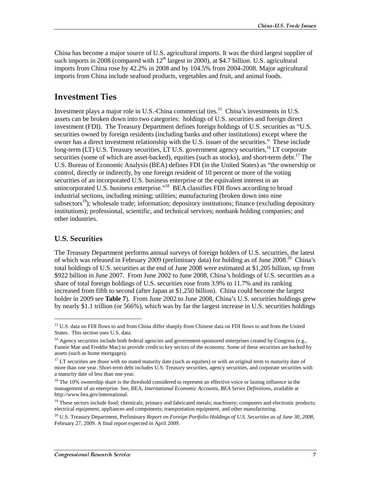China has become a major source of U.S. agricultural imports. It was the third largest supplier of such imports in 2008 (compared with  $12<sup>th</sup>$  largest in 2000), at \$4.7 billion. U.S. agricultural imports from China rose by 42.2% in 2008 and by 104.5% from 2004-2008. Major agricultural imports from China include seafood products, vegetables and fruit, and animal foods.

### **Investment Ties**

Investment plays a major role in U.S.-China commercial ties.<sup>15</sup> China's investments in U.S. assets can be broken down into two categories: holdings of U.S. securities and foreign direct investment (FDI). The Treasury Department defines foreign holdings of U.S. securities as "U.S. securities owned by foreign residents (including banks and other institutions) except where the owner has a direct investment relationship with the U.S. issuer of the securities." These include long-term (LT) U.S. Treasury securities, LT U.S. government agency securities,  $^{16}$  LT corporate securities (some of which are asset-backed), equities (such as stocks), and short-term debt.<sup>17</sup> The U.S. Bureau of Economic Analysis (BEA) defines FDI (in the United States) as "the ownership or control, directly or indirectly, by one foreign resident of 10 percent or more of the voting securities of an incorporated U.S. business enterprise or the equivalent interest in an unincorporated U.S. business enterprise."<sup>18</sup> BEA classifies FDI flows according to broad industrial sections, including mining; utilities; manufacturing (broken down into nine subsectors<sup>19</sup>); wholesale trade; information; depository institutions; finance (excluding depository institutions); professional, scientific, and technical services; nonbank holding companies; and other industries.

#### U.S. Securities

j

The Treasury Department performs annual surveys of foreign holders of U.S. securities, the latest of which was released in February 2009 (preliminary data) for holding as of June 2008.<sup>20</sup> China's total holdings of U.S. securities at the end of June 2008 were estimated at \$1,205 billion, up from \$922 billion in June 2007. From June 2002 to June 2008, China's holdings of U.S. securities as a share of total foreign holdings of U.S. securities rose from 3.9% to 11.7% and its ranking increased from fifth to second (after Japan at \$1,250 billion). China could become the largest holder in 2009 see **Table 7**). From June 2002 to June 2008, China's U.S. securities holdings grew by nearly \$1.1 trillion (or 566%), which was by far the largest increase in U.S. securities holdings

<sup>&</sup>lt;sup>15</sup> U.S. data on FDI flows to and from China differ sharply from Chinese data on FDI flows to and from the United States. This section uses U.S. data.

<sup>&</sup>lt;sup>16</sup> Agency securities include both federal agencies and government-sponsored enterprises created by Congress (e.g., Fannie Mae and Freddie Mac) to provide credit to key sectors of the economy. Some of these securities are backed by assets (such as home mortgages).

 $17$  LT securities are those with no stated maturity date (such as equities) or with an original term to maturity date of more than one year. Short-term debt includes U.S. Treasury securities, agency securities, and corporate securities with a maturity date of less than one year.

<sup>&</sup>lt;sup>18</sup> The 10% ownership share is the threshold considered to represent an effective voice or lasting influence in the management of an enterprise. See, BEA, *International Economic Accounts, BEA Series Definitions*, available at http://www.bea.gov/international.

<sup>&</sup>lt;sup>19</sup> These sectors include food; chemicals; primary and fabricated metals; machinery; computers and electronic products; electrical equipment, appliances and components; transportation equipment, and other manufacturing.

<sup>20</sup> U.S. Treasury Department, Preliminary *Report on Foreign Portfolio Holdings of U.S. Securities as of June 30, 2008*, February 27, 2009. A final report expected in April 2009.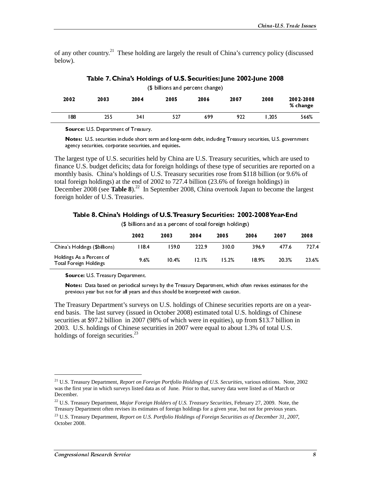of any other country.<sup>21</sup> These holding are largely the result of China's currency policy (discussed below).

| (\$ billions and percent change) |      |      |      |      |      |      |                       |  |
|----------------------------------|------|------|------|------|------|------|-----------------------|--|
| 2002                             | 2003 | 2004 | 2005 | 2006 | 2007 | 2008 | 2002-2008<br>% change |  |
| 88                               | 255  | 341  | 527  | 699  | 922  | .205 | 566%                  |  |

Table 7. China's Holdings of U.S. Securities: June 2002-June 2008

(**a** billions and percent change)<br>
2005 2006<br>
527 699<br>
7.<br>
term and long-term debt, including<br>
s, and equities.<br>
and equities.<br>
and equities.<br>
For foreign holdings of these t<br>
FU.S. Treasury securities ross<br>
52002 to 727.4 **2003**<br> **2003**<br> **2003**<br> **2004**<br> **2003**<br> **2004**<br> **2006**<br> **2006**<br> **2006**<br> **2006**<br> **2006**<br> **2006**<br> **2006**<br> **2006**<br> **2006**<br> **2006**<br> **2006**<br> **2006**<br> **2006**<br> **2006**<br> **2006**<br> **2006**<br> **2006**<br> **2006**<br> **2006**<br> **2006**<br> **2006**<br> **2006**  $\frac{566\%}{566\%}$ <br>
ernment<br>
used to<br>
orted on a<br>
.6% of<br>
ne largest<br> **nd**<br>
2008<br>
6 727<br>
6 23.6<br>
s for the<br>
1 a year-<br>
nese<br>
n in<br>
.e, 2002<br>
or<br>
the 1 a year-<br>
nese<br>
.e, 2002<br>
or<br>
.the 1<br>
.the 1<br>
.the 2003<br>
or<br>
.the 2<br>
.th **EXECUTE:** U.S. Department of Treasory<br>
1600str. U.S. recent broadstrained to the main distinguish of the main terms of the main distinguish of the main distinguish of the main distinguish of the main distinguish of the m **Notes:** U.S. securities include short teads and the same of search search search search search search ince U.S. budget deficits; data for the U.S. budget deficits; data for the U.S. budget deficits; data for the of 2 cemb agency securities. experience ascurities, and equation.<br>
Margent Upper of U.S. Securities, which are used to come Disc Notes: U.S. Unagency securities, which are used to<br>
the long-to deficits: data for foreign holdings of agrest type of U.S. securities, held by Chinnee U.S. budget deficits; data for foreign holdings of U.S. Treasu foreign holdings) at the end of 2002 to 727 is the end of 2002 to 727 is in September 2008 (see **Table 8).** In The largest type of U.S. securities held by China are U.S. Treasury securities, which are used to finance U.S. budget deficits; data for foreign holdings of these type of securities are reported on a monthly basis. China's holdings of U.S. Treasury securities rose from \$118 billion (or 9.6% of total foreign holdings) at the end of 2002 to 727.4 billion (23.6% of foreign holdings) in December 2008 (see **Table 8**).<sup>22</sup> In September 2008, China overtook Japan to become the largest foreign holder of U.S. Treasuries.

#### Table 8. China's Holdings of U.S. Treasury Securities: 2002-2008 Year-End

|                                                                                                                                                                                                                                                    | $(\psi$ billions and as a percent or total foreign noidings)<br>2002 | 2003  | 2004  | 2005  | 2006  | 2007  | 2008             |
|----------------------------------------------------------------------------------------------------------------------------------------------------------------------------------------------------------------------------------------------------|----------------------------------------------------------------------|-------|-------|-------|-------|-------|------------------|
| China's Holdings (\$billions)                                                                                                                                                                                                                      | 118.4                                                                | 159.0 | 222.9 | 310.0 | 396.9 | 477.6 | 7274             |
| Holdings As a Percent of<br><b>Total Foreign Holdings</b>                                                                                                                                                                                          | 9.6%                                                                 | 10.4% | 12.1% | 15.2% | 18.9% | 20.3% | 23.6%            |
| Source: U.S. Treasury Department.<br>Notes: Data based on periodical surveys by the Treasury Department, which often revises estimates for the                                                                                                     |                                                                      |       |       |       |       |       |                  |
| previous year but not for all years and thus should be interpreted with caution.                                                                                                                                                                   |                                                                      |       |       |       |       |       |                  |
| The Treasury Department's surveys on U.S. holdings of Chinese securities reports are on a year-<br>end basis. The last survey (issued in October 2008) estimated total U.S. holdings of Chinese                                                    |                                                                      |       |       |       |       |       |                  |
| securities at \$97.2 billion in 2007 (98% of which were in equities), up from \$13.7 billion in<br>2003. U.S. holdings of Chinese securities in 2007 were equal to about 1.3% of total U.S.                                                        |                                                                      |       |       |       |       |       |                  |
| holdings of foreign securities. <sup>23</sup>                                                                                                                                                                                                      |                                                                      |       |       |       |       |       |                  |
|                                                                                                                                                                                                                                                    |                                                                      |       |       |       |       |       |                  |
|                                                                                                                                                                                                                                                    |                                                                      |       |       |       |       |       |                  |
| <sup>21</sup> U.S. Treasury Department, Report on Foreign Portfolio Holdings of U.S. Securities, various editions. Note, 2002<br>was the first year in which surveys listed data as of June. Prior to that, survey data were listed as of March or |                                                                      |       |       |       |       |       |                  |
| December.<br><sup>22</sup> U.S. Treasury Department, <i>Major Foreign Holders of U.S. Treasury Securities</i> , February 27, 2009. Note, the                                                                                                       |                                                                      |       |       |       |       |       |                  |
| Treasury Department often revises its estimates of foreign holdings for a given year, but not for previous years.<br><sup>23</sup> U.S. Treasury Department, Report on U.S. Portfolio Holdings of Foreign Securities as of December 31, 2007,      |                                                                      |       |       |       |       |       |                  |
| October 2008.                                                                                                                                                                                                                                      |                                                                      |       |       |       |       |       |                  |
|                                                                                                                                                                                                                                                    |                                                                      |       |       |       |       |       |                  |
| Congressional Research Service                                                                                                                                                                                                                     |                                                                      |       |       |       |       |       | $\boldsymbol{s}$ |
|                                                                                                                                                                                                                                                    |                                                                      |       |       |       |       |       |                  |
|                                                                                                                                                                                                                                                    |                                                                      |       |       |       |       |       |                  |
|                                                                                                                                                                                                                                                    |                                                                      |       |       |       |       |       |                  |
|                                                                                                                                                                                                                                                    |                                                                      |       |       |       |       |       |                  |
|                                                                                                                                                                                                                                                    |                                                                      |       |       |       |       |       |                  |
|                                                                                                                                                                                                                                                    |                                                                      |       |       |       |       |       |                  |
|                                                                                                                                                                                                                                                    |                                                                      |       |       |       |       |       |                  |
|                                                                                                                                                                                                                                                    |                                                                      |       |       |       |       |       |                  |
|                                                                                                                                                                                                                                                    |                                                                      |       |       |       |       |       |                  |
|                                                                                                                                                                                                                                                    |                                                                      |       |       |       |       |       |                  |
|                                                                                                                                                                                                                                                    |                                                                      |       |       |       |       |       |                  |
|                                                                                                                                                                                                                                                    |                                                                      |       |       |       |       |       |                  |
|                                                                                                                                                                                                                                                    |                                                                      |       |       |       |       |       |                  |
|                                                                                                                                                                                                                                                    |                                                                      |       |       |       |       |       |                  |
|                                                                                                                                                                                                                                                    |                                                                      |       |       |       |       |       |                  |
|                                                                                                                                                                                                                                                    |                                                                      |       |       |       |       |       |                  |
|                                                                                                                                                                                                                                                    |                                                                      |       |       |       |       |       |                  |
|                                                                                                                                                                                                                                                    |                                                                      |       |       |       |       |       |                  |
|                                                                                                                                                                                                                                                    |                                                                      |       |       |       |       |       |                  |
|                                                                                                                                                                                                                                                    |                                                                      |       |       |       |       |       |                  |
|                                                                                                                                                                                                                                                    |                                                                      |       |       |       |       |       |                  |
|                                                                                                                                                                                                                                                    |                                                                      |       |       |       |       |       |                  |
|                                                                                                                                                                                                                                                    |                                                                      |       |       |       |       |       |                  |
|                                                                                                                                                                                                                                                    |                                                                      |       |       |       |       |       |                  |
|                                                                                                                                                                                                                                                    |                                                                      |       |       |       |       |       |                  |
|                                                                                                                                                                                                                                                    |                                                                      |       |       |       |       |       |                  |
|                                                                                                                                                                                                                                                    |                                                                      |       |       |       |       |       |                  |
|                                                                                                                                                                                                                                                    |                                                                      |       |       |       |       |       |                  |
|                                                                                                                                                                                                                                                    |                                                                      |       |       |       |       |       |                  |
|                                                                                                                                                                                                                                                    |                                                                      |       |       |       |       |       |                  |
|                                                                                                                                                                                                                                                    |                                                                      |       |       |       |       |       |                  |
|                                                                                                                                                                                                                                                    |                                                                      |       |       |       |       |       |                  |
|                                                                                                                                                                                                                                                    |                                                                      |       |       |       |       |       |                  |
|                                                                                                                                                                                                                                                    |                                                                      |       |       |       |       |       |                  |
|                                                                                                                                                                                                                                                    |                                                                      |       |       |       |       |       |                  |
|                                                                                                                                                                                                                                                    |                                                                      |       |       |       |       |       |                  |
|                                                                                                                                                                                                                                                    |                                                                      |       |       |       |       |       |                  |
|                                                                                                                                                                                                                                                    |                                                                      |       |       |       |       |       |                  |
|                                                                                                                                                                                                                                                    |                                                                      |       |       |       |       |       |                  |
|                                                                                                                                                                                                                                                    |                                                                      |       |       |       |       |       |                  |
|                                                                                                                                                                                                                                                    |                                                                      |       |       |       |       |       |                  |
|                                                                                                                                                                                                                                                    |                                                                      |       |       |       |       |       |                  |
|                                                                                                                                                                                                                                                    |                                                                      |       |       |       |       |       |                  |
|                                                                                                                                                                                                                                                    |                                                                      |       |       |       |       |       |                  |
|                                                                                                                                                                                                                                                    |                                                                      |       |       |       |       |       |                  |
|                                                                                                                                                                                                                                                    |                                                                      |       |       |       |       |       |                  |
|                                                                                                                                                                                                                                                    |                                                                      |       |       |       |       |       |                  |
|                                                                                                                                                                                                                                                    |                                                                      |       |       |       |       |       |                  |
|                                                                                                                                                                                                                                                    |                                                                      |       |       |       |       |       |                  |
|                                                                                                                                                                                                                                                    |                                                                      |       |       |       |       |       |                  |
|                                                                                                                                                                                                                                                    |                                                                      |       |       |       |       |       |                  |
|                                                                                                                                                                                                                                                    |                                                                      |       |       |       |       |       |                  |
|                                                                                                                                                                                                                                                    |                                                                      |       |       |       |       |       |                  |
|                                                                                                                                                                                                                                                    |                                                                      |       |       |       |       |       |                  |
|                                                                                                                                                                                                                                                    |                                                                      |       |       |       |       |       |                  |
|                                                                                                                                                                                                                                                    |                                                                      |       |       |       |       |       |                  |
|                                                                                                                                                                                                                                                    |                                                                      |       |       |       |       |       |                  |
|                                                                                                                                                                                                                                                    |                                                                      |       |       |       |       |       |                  |
|                                                                                                                                                                                                                                                    |                                                                      |       |       |       |       |       |                  |
|                                                                                                                                                                                                                                                    |                                                                      |       |       |       |       |       |                  |
|                                                                                                                                                                                                                                                    |                                                                      |       |       |       |       |       |                  |
|                                                                                                                                                                                                                                                    |                                                                      |       |       |       |       |       |                  |
|                                                                                                                                                                                                                                                    |                                                                      |       |       |       |       |       |                  |
|                                                                                                                                                                                                                                                    |                                                                      |       |       |       |       |       |                  |
|                                                                                                                                                                                                                                                    |                                                                      |       |       |       |       |       |                  |
|                                                                                                                                                                                                                                                    |                                                                      |       |       |       |       |       |                  |
|                                                                                                                                                                                                                                                    |                                                                      |       |       |       |       |       |                  |
|                                                                                                                                                                                                                                                    |                                                                      |       |       |       |       |       |                  |
|                                                                                                                                                                                                                                                    |                                                                      |       |       |       |       |       |                  |
|                                                                                                                                                                                                                                                    |                                                                      |       |       |       |       |       |                  |
|                                                                                                                                                                                                                                                    |                                                                      |       |       |       |       |       |                  |
|                                                                                                                                                                                                                                                    |                                                                      |       |       |       |       |       |                  |
|                                                                                                                                                                                                                                                    |                                                                      |       |       |       |       |       |                  |
|                                                                                                                                                                                                                                                    |                                                                      |       |       |       |       |       |                  |
|                                                                                                                                                                                                                                                    |                                                                      |       |       |       |       |       |                  |

<sup>21</sup> U.S. Treasury Department, *Report on Foreign Portfolio Holdings of U.S. Securities,* various editions. Note, 2002 was the first year in which surveys listed data as of June. Prior to that, survey data were listed as of March or December.

<sup>22</sup> U.S. Treasury Department, *Major Foreign Holders of U.S. Treasury Securities*, February 27, 2009. Note, the Treasury Department often revises its estimates of foreign holdings for a given year, but not for previous years.

<sup>23</sup> U.S. Treasury Department, *Report on U.S. Portfolio Holdings of Foreign Securities as of December 31, 2007*, October 2008.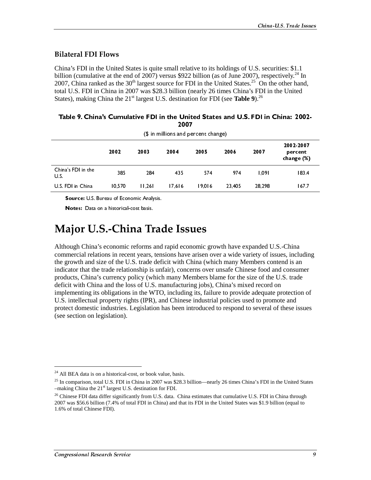#### **Bilateral FDI Flows**

China's FDI in the United States is quite small relative to its holdings of U.S. securities: \$1.1 billion (cumulative at the end of 2007) versus \$922 billion (as of June 2007), respectively.<sup>24</sup> In 2007, China ranked as the  $30<sup>th</sup>$  largest source for FDI in the United States.<sup>25</sup> On the other hand, total U.S. FDI in China in 2007 was \$28.3 billion (nearly 26 times China's FDI in the United States), making China the 21<sup>st</sup> largest U.S. destination for FDI (see **Table 9**).<sup>26</sup>

| (\$ in millions and percent change) |        |        |        |        |        |        |                                    |  |  |
|-------------------------------------|--------|--------|--------|--------|--------|--------|------------------------------------|--|--|
|                                     | 2002   | 2003   | 2004   | 2005   | 2006   | 2007   | 2002-2007<br>percent<br>change (%) |  |  |
| China's FDI in the<br>U.S.          | 385    | 284    | 435    | 574    | 974    | 1.091  | 183.4                              |  |  |
| U.S. FDI in China                   | 10.570 | 11.261 | 17.616 | 19.016 | 23.405 | 28,298 | 167.7                              |  |  |

| Table 9. China's Cumulative FDI in the United States and U.S. FDI in China: 2002- |  |
|-----------------------------------------------------------------------------------|--|
| 2007                                                                              |  |

Source: U.S. Bureau of Economic Analysis.

Notes: Data on a historical-cost basis.

## Major U.S.-China Trade Issues

(with minions and percent change)<br>
2004 2005 20<br>
284 435 574<br>
1.261 17,616 19,016 2<br>
Analysis.<br>
asis.<br> **Trade Issues**<br>
ms and rapid economic growth has and rapid economic growth has then are are are are deficit with China ILL FFF(C)引入VidiSiVal OLd ture (C)引入VidiSiVal OLd ture (A)D.U and his 2002 2003 2004 2005 2006 2007 percent<br>
change (%)<br>
183.4<br>
167.7<br>
167.7<br>
China<br>
8, includin<br>
167.7<br>
2 and is an<br>
2 and nese issues<br>
2 and nese issues<br>
2 and nese issues<br>
10.1<br>
10.1<br>
10.1<br>
10.1<br>
10.1<br>
10.1<br>
10.1<br>
10.1<br>
10.1<br>
10.1<br>
10.1<br>
10.1<br>
10.1<br>
10.1<br> range (%<br>
183.4<br>
167.7<br>
167.7<br>
167.7<br>
167.7<br>
167.7<br>
167.7<br>
167.7<br>
167.7<br>
167.7<br>
167.7<br>
167.7<br>
167.7<br>
167.7<br>
167.7<br>
167.7<br>
168 and the same size of same size of same size of same size<br>
169.1<br>
169.1<br>
169.1<br>
169.1<br>
169.1<br>
169 183.4<br>167.7<br>183.4<br>167.7<br>China<br>s, including<br>as, including<br>S. trade<br>otection of<br>e and<br>hese issues<br>United States<br>and is and<br>United States<br>increased issues Although China's economic reforms and rapid economic growth have expanded U.S.-China commercial relations in recent years, tensions have arisen over a wide variety of issues, including the growth and size of the U.S. trade deficit with China (which many Members contend is an indicator that the trade relationship is unfair), concerns over unsafe Chinese food and consumer products, China's currency policy (which many Members blame for the size of the U.S. trade deficit with China and the loss of U.S. manufacturing jobs), China's mixed record on implementing its obligations in the WTO, including its, failure to provide adequate protection of U.S. intellectual property rights (IPR), and Chinese industrial policies used to promote and protect domestic industries. Legislation has been introduced to respond to several of these issues (see section on legislation).

<sup>&</sup>lt;sup>24</sup> All BEA data is on a historical-cost, or book value, basis.

<sup>&</sup>lt;sup>25</sup> In comparison, total U.S. FDI in China in 2007 was \$28.3 billion—nearly 26 times China's FDI in the United States  $-$ making China the 21<sup>st</sup> largest U.S. destination for FDI.

 $^{26}$  Chinese FDI data differ significantly from U.S. data. China estimates that cumulative U.S. FDI in China through 2007 was \$56.6 billion (7.4% of total FDI in China) and that its FDI in the United States was \$1.9 billion (equal to 1.6% of total Chinese FDI).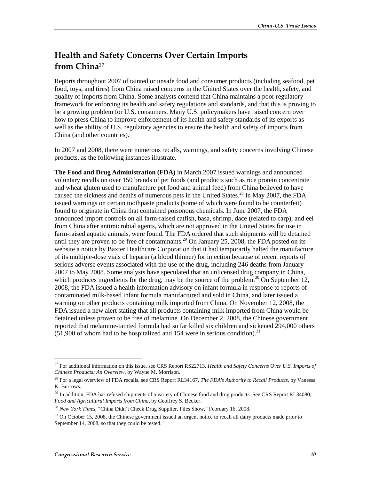## Health and Safety Concerns Over Certain Imports from China<sup>27</sup>

Reports throughout 2007 of tainted or unsafe food and consumer products (including seafood, pet food, toys, and tires) from China raised concerns in the United States over the health, safety, and quality of imports from China. Some analysts contend that China maintains a poor regulatory framework for enforcing its health and safety regulations and standards, and that this is proving to be a growing problem for U.S. consumers. Many U.S. policymakers have raised concern over how to press China to improve enforcement of its health and safety standards of its exports as well as the ability of U.S. regulatory agencies to ensure the health and safety of imports from China (and other countries).

In 2007 and 2008, there were numerous recalls, warnings, and safety concerns involving Chinese products, as the following instances illustrate.

**The Food and Drug Administration (FDA)** in March 2007 issued warnings and announced voluntary recalls on over 150 brands of pet foods (and products such as rice protein concentrate and wheat gluten used to manufacture pet food and animal feed) from China believed to have caused the sickness and deaths of numerous pets in the United States.<sup>28</sup> In May 2007, the FDA issued warnings on certain toothpaste products (some of which were found to be counterfeit) found to originate in China that contained poisonous chemicals. In June 2007, the FDA announced import controls on all farm-raised catfish, basa, shrimp, dace (related to carp), and eel from China after antimicrobial agents, which are not approved in the United States for use in farm-raised aquatic animals, were found. The FDA ordered that such shipments will be detained until they are proven to be free of contaminants.<sup>29</sup> On January 25, 2008, the FDA posted on its website a notice by Baxter Healthcare Corporation that it had temporarily halted the manufacture of its multiple-dose vials of heparin (a blood thinner) for injection because of recent reports of serious adverse events associated with the use of the drug, including 246 deaths from January 2007 to May 2008. Some analysts have speculated that an unlicensed drug company in China, which produces ingredients for the drug, may be the source of the problem.<sup>30</sup> On September 12, 2008, the FDA issued a health information advisory on infant formula in response to reports of contaminated milk-based infant formula manufactured and sold in China, and later issued a warning on other products containing milk imported from China. On November 12, 2008, the FDA issued a new alert stating that all products containing milk imported from China would be detained unless proven to be free of melamine. On December 2, 2008, the Chinese government reported that melamine-tainted formula had so far killed six children and sickened 294,000 others  $(51,900)$  of whom had to be hospitalized and 154 were in serious condition).<sup>31</sup>

<sup>27</sup> For additional information on this issue, see CRS Report RS22713, *Health and Safety Concerns Over U.S. Imports of Chinese Products: An Overview*, by Wayne M. Morrison.

<sup>28</sup> For a legal overview of FDA recalls, see CRS Report RL34167, *The FDA's Authority to Recall Products*, by Vanessa K. Burrows.

 $^{29}$  In addition, FDA has refused shipments of a variety of Chinese food and drug products. See CRS Report RL34080, *Food and Agricultural Imports from China*, by Geoffrey S. Becker.

<sup>30</sup> *New York Times*, "China Didn't Check Drug Supplier, Files Show," February 16, 2008.

 $31$  On October 15, 2008, the Chinese government issued an urgent notice to recall all dairy products made prior to September 14, 2008, so that they could be tested.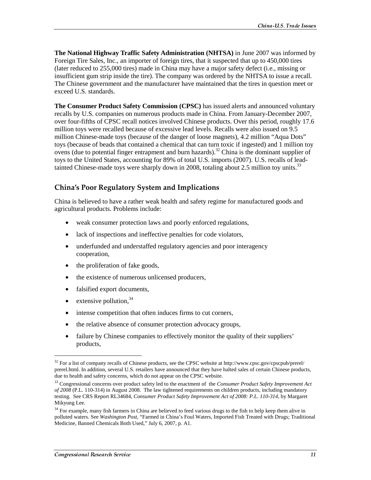**The National Highway Traffic Safety Administration (NHTSA)** in June 2007 was informed by Foreign Tire Sales, Inc., an importer of foreign tires, that it suspected that up to 450,000 tires (later reduced to 255,000 tires) made in China may have a major safety defect (i.e., missing or insufficient gum strip inside the tire). The company was ordered by the NHTSA to issue a recall. The Chinese government and the manufacturer have maintained that the tires in question meet or exceed U.S. standards.

**The Consumer Product Safety Commission (CPSC)** has issued alerts and announced voluntary recalls by U.S. companies on numerous products made in China. From January-December 2007, over four-fifths of CPSC recall notices involved Chinese products. Over this period, roughly 17.6 million toys were recalled because of excessive lead levels. Recalls were also issued on 9.5 million Chinese-made toys (because of the danger of loose magnets), 4.2 million "Aqua Dots" toys (because of beads that contained a chemical that can turn toxic if ingested) and 1 million toy ovens (due to potential finger entrapment and burn hazards).<sup>32</sup> China is the dominant supplier of toys to the United States, accounting for 89% of total U.S. imports (2007). U.S. recalls of leadtainted Chinese-made toys were sharply down in 2008, totaling about 2.5 million toy units.<sup>33</sup>

#### China's Poor Regulatory System and Implications

China is believed to have a rather weak health and safety regime for manufactured goods and agricultural products. Problems include:

- weak consumer protection laws and poorly enforced regulations,
- lack of inspections and ineffective penalties for code violators,
- underfunded and understaffed regulatory agencies and poor interagency cooperation,
- the proliferation of fake goods,
- the existence of numerous unlicensed producers,
- falsified export documents,
- extensive pollution. $34$

- intense competition that often induces firms to cut corners,
- the relative absence of consumer protection advocacy groups,
- failure by Chinese companies to effectively monitor the quality of their suppliers' products,

<sup>&</sup>lt;sup>32</sup> For a list of company recalls of Chinese products, see the CPSC website at http://www.cpsc.gov/cpscpub/prerel/ prerel.html. In addition, several U.S. retailers have announced that they have halted sales of certain Chinese products, due to health and safety concerns, which do not appear on the CPSC website.

<sup>33</sup> Congressional concerns over product safety led to the enactment of the *Consumer Product Safety Improvement Act of 2008* (P.L. 110-314) in August 2008. The law tightened requirements on children products, including mandatory testing. See CRS Report RL34684, *Consumer Product Safety Improvement Act of 2008: P.L. 110-314*, by Margaret Mikyung Lee.

<sup>&</sup>lt;sup>34</sup> For example, many fish farmers in China are believed to feed various drugs to the fish to help keep them alive in polluted waters. See *Washington Post*, "Farmed in China's Foul Waters, Imported Fish Treated with Drugs; Traditional Medicine, Banned Chemicals Both Used," July 6, 2007, p. A1.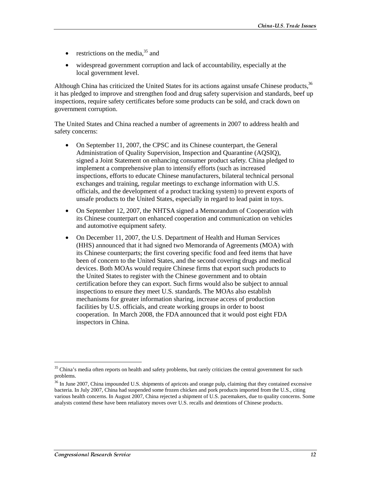- restrictions on the media, $35$  and
- widespread government corruption and lack of accountability, especially at the local government level.

Although China has criticized the United States for its actions against unsafe Chinese products,  $3<sup>56</sup>$ it has pledged to improve and strengthen food and drug safety supervision and standards, beef up inspections, require safety certificates before some products can be sold, and crack down on government corruption.

The United States and China reached a number of agreements in 2007 to address health and safety concerns:

- On September 11, 2007, the CPSC and its Chinese counterpart, the General Administration of Quality Supervision, Inspection and Quarantine (AQSIQ), signed a Joint Statement on enhancing consumer product safety. China pledged to implement a comprehensive plan to intensify efforts (such as increased inspections, efforts to educate Chinese manufacturers, bilateral technical personal exchanges and training, regular meetings to exchange information with U.S. officials, and the development of a product tracking system) to prevent exports of unsafe products to the United States, especially in regard to lead paint in toys.
- On September 12, 2007, the NHTSA signed a Memorandum of Cooperation with its Chinese counterpart on enhanced cooperation and communication on vehicles and automotive equipment safety.
- On December 11, 2007, the U.S. Department of Health and Human Services (HHS) announced that it had signed two Memoranda of Agreements (MOA) with its Chinese counterparts; the first covering specific food and feed items that have been of concern to the United States, and the second covering drugs and medical devices. Both MOAs would require Chinese firms that export such products to the United States to register with the Chinese government and to obtain certification before they can export. Such firms would also be subject to annual inspections to ensure they meet U.S. standards. The MOAs also establish mechanisms for greater information sharing, increase access of production facilities by U.S. officials, and create working groups in order to boost cooperation. In March 2008, the FDA announced that it would post eight FDA inspectors in China.

<sup>&</sup>lt;sup>35</sup> China's media often reports on health and safety problems, but rarely criticizes the central government for such problems.

<sup>&</sup>lt;sup>36</sup> In June 2007, China impounded U.S. shipments of apricots and orange pulp, claiming that they contained excessive bacteria. In July 2007, China had suspended some frozen chicken and pork products imported from the U.S., citing various health concerns. In August 2007, China rejected a shipment of U.S. pacemakers, due to quality concerns. Some analysts contend these have been retaliatory moves over U.S. recalls and detentions of Chinese products.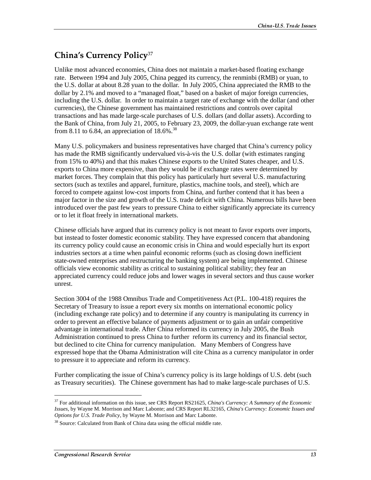## China's Currency Policy $\rm ^{37}$

Unlike most advanced economies, China does not maintain a market-based floating exchange rate. Between 1994 and July 2005, China pegged its currency, the renminbi (RMB) or yuan, to the U.S. dollar at about 8.28 yuan to the dollar. In July 2005, China appreciated the RMB to the dollar by 2.1% and moved to a "managed float," based on a basket of major foreign currencies, including the U.S. dollar. In order to maintain a target rate of exchange with the dollar (and other currencies), the Chinese government has maintained restrictions and controls over capital transactions and has made large-scale purchases of U.S. dollars (and dollar assets). According to the Bank of China, from July 21, 2005, to February 23, 2009, the dollar-yuan exchange rate went from 8.11 to 6.84, an appreciation of  $18.6\%$ .<sup>38</sup>

Many U.S. policymakers and business representatives have charged that China's currency policy has made the RMB significantly undervalued vis-à-vis the U.S. dollar (with estimates ranging from 15% to 40%) and that this makes Chinese exports to the United States cheaper, and U.S. exports to China more expensive, than they would be if exchange rates were determined by market forces. They complain that this policy has particularly hurt several U.S. manufacturing sectors (such as textiles and apparel, furniture, plastics, machine tools, and steel), which are forced to compete against low-cost imports from China, and further contend that it has been a major factor in the size and growth of the U.S. trade deficit with China. Numerous bills have been introduced over the past few years to pressure China to either significantly appreciate its currency or to let it float freely in international markets.

Chinese officials have argued that its currency policy is not meant to favor exports over imports, but instead to foster domestic economic stability. They have expressed concern that abandoning its currency policy could cause an economic crisis in China and would especially hurt its export industries sectors at a time when painful economic reforms (such as closing down inefficient state-owned enterprises and restructuring the banking system) are being implemented. Chinese officials view economic stability as critical to sustaining political stability; they fear an appreciated currency could reduce jobs and lower wages in several sectors and thus cause worker unrest.

Section 3004 of the 1988 Omnibus Trade and Competitiveness Act (P.L. 100-418) requires the Secretary of Treasury to issue a report every six months on international economic policy (including exchange rate policy) and to determine if any country is manipulating its currency in order to prevent an effective balance of payments adjustment or to gain an unfair competitive advantage in international trade. After China reformed its currency in July 2005, the Bush Administration continued to press China to further reform its currency and its financial sector, but declined to cite China for currency manipulation. Many Members of Congress have expressed hope that the Obama Administration will cite China as a currency manipulator in order to pressure it to appreciate and reform its currency.

Further complicating the issue of China's currency policy is its large holdings of U.S. debt (such as Treasury securities). The Chinese government has had to make large-scale purchases of U.S.

<sup>37</sup> For additional information on this issue, see CRS Report RS21625, *China's Currency: A Summary of the Economic Issues*, by Wayne M. Morrison and Marc Labonte; and CRS Report RL32165, *China's Currency: Economic Issues and Options for U.S. Trade Policy*, by Wayne M. Morrison and Marc Labonte.

<sup>&</sup>lt;sup>38</sup> Source: Calculated from Bank of China data using the official middle rate.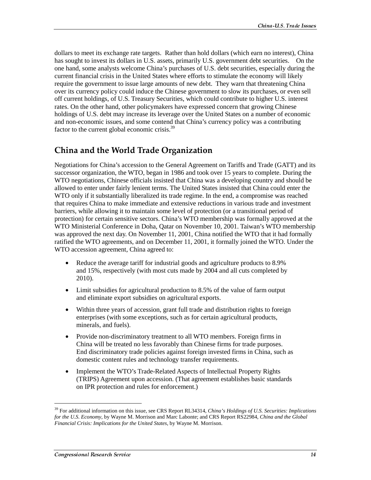dollars to meet its exchange rate targets. Rather than hold dollars (which earn no interest), China has sought to invest its dollars in U.S. assets, primarily U.S. government debt securities. On the one hand, some analysts welcome China's purchases of U.S. debt securities, especially during the current financial crisis in the United States where efforts to stimulate the economy will likely require the government to issue large amounts of new debt. They warn that threatening China over its currency policy could induce the Chinese government to slow its purchases, or even sell off current holdings, of U.S. Treasury Securities, which could contribute to higher U.S. interest rates. On the other hand, other policymakers have expressed concern that growing Chinese holdings of U.S. debt may increase its leverage over the United States on a number of economic and non-economic issues, and some contend that China's currency policy was a contributing factor to the current global economic crisis.<sup>39</sup>

## China and the World Trade Organization

Negotiations for China's accession to the General Agreement on Tariffs and Trade (GATT) and its successor organization, the WTO, began in 1986 and took over 15 years to complete. During the WTO negotiations, Chinese officials insisted that China was a developing country and should be allowed to enter under fairly lenient terms. The United States insisted that China could enter the WTO only if it substantially liberalized its trade regime. In the end, a compromise was reached that requires China to make immediate and extensive reductions in various trade and investment barriers, while allowing it to maintain some level of protection (or a transitional period of protection) for certain sensitive sectors. China's WTO membership was formally approved at the WTO Ministerial Conference in Doha, Qatar on November 10, 2001. Taiwan's WTO membership was approved the next day. On November 11, 2001, China notified the WTO that it had formally ratified the WTO agreements, and on December 11, 2001, it formally joined the WTO. Under the WTO accession agreement, China agreed to:

- Reduce the average tariff for industrial goods and agriculture products to 8.9% and 15%, respectively (with most cuts made by 2004 and all cuts completed by 2010).
- Limit subsidies for agricultural production to 8.5% of the value of farm output and eliminate export subsidies on agricultural exports.
- Within three years of accession, grant full trade and distribution rights to foreign enterprises (with some exceptions, such as for certain agricultural products, minerals, and fuels).
- Provide non-discriminatory treatment to all WTO members. Foreign firms in China will be treated no less favorably than Chinese firms for trade purposes. End discriminatory trade policies against foreign invested firms in China, such as domestic content rules and technology transfer requirements.
- Implement the WTO's Trade-Related Aspects of Intellectual Property Rights (TRIPS) Agreement upon accession. (That agreement establishes basic standards on IPR protection and rules for enforcement.)

<sup>39</sup> For additional information on this issue, see CRS Report RL34314, *China's Holdings of U.S. Securities: Implications for the U.S. Economy*, by Wayne M. Morrison and Marc Labonte; and CRS Report RS22984, *China and the Global Financial Crisis: Implications for the United States*, by Wayne M. Morrison.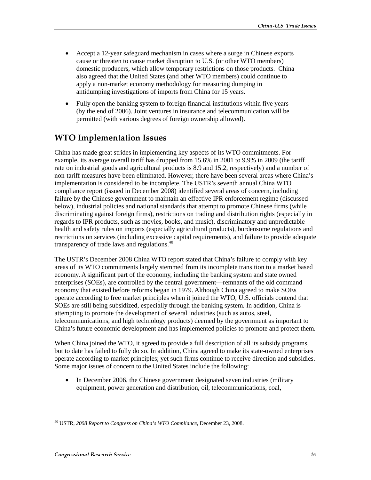- Accept a 12-year safeguard mechanism in cases where a surge in Chinese exports cause or threaten to cause market disruption to U.S. (or other WTO members) domestic producers, which allow temporary restrictions on those products. China also agreed that the United States (and other WTO members) could continue to apply a non-market economy methodology for measuring dumping in antidumping investigations of imports from China for 15 years.
- Fully open the banking system to foreign financial institutions within five years (by the end of 2006). Joint ventures in insurance and telecommunication will be permitted (with various degrees of foreign ownership allowed).

## WTO Implementation Issues

China has made great strides in implementing key aspects of its WTO commitments. For example, its average overall tariff has dropped from 15.6% in 2001 to 9.9% in 2009 (the tariff rate on industrial goods and agricultural products is 8.9 and 15.2, respectively) and a number of non-tariff measures have been eliminated. However, there have been several areas where China's implementation is considered to be incomplete. The USTR's seventh annual China WTO compliance report (issued in December 2008) identified several areas of concern, including failure by the Chinese government to maintain an effective IPR enforcement regime (discussed below), industrial policies and national standards that attempt to promote Chinese firms (while discriminating against foreign firms), restrictions on trading and distribution rights (especially in regards to IPR products, such as movies, books, and music), discriminatory and unpredictable health and safety rules on imports (especially agricultural products), burdensome regulations and restrictions on services (including excessive capital requirements), and failure to provide adequate transparency of trade laws and regulations. $40$ 

The USTR's December 2008 China WTO report stated that China's failure to comply with key areas of its WTO commitments largely stemmed from its incomplete transition to a market based economy. A significant part of the economy, including the banking system and state owned enterprises (SOEs), are controlled by the central government—remnants of the old command economy that existed before reforms began in 1979. Although China agreed to make SOEs operate according to free market principles when it joined the WTO, U.S. officials contend that SOEs are still being subsidized, especially through the banking system. In addition, China is attempting to promote the development of several industries (such as autos, steel, telecommunications, and high technology products) deemed by the government as important to China's future economic development and has implemented policies to promote and protect them.

When China joined the WTO, it agreed to provide a full description of all its subsidy programs, but to date has failed to fully do so. In addition, China agreed to make its state-owned enterprises operate according to market principles; yet such firms continue to receive direction and subsidies. Some major issues of concern to the United States include the following:

• In December 2006, the Chinese government designated seven industries (military equipment, power generation and distribution, oil, telecommunications, coal,

<sup>40</sup> USTR, *2008 Report to Congress on China's WTO Compliance*, December 23, 2008.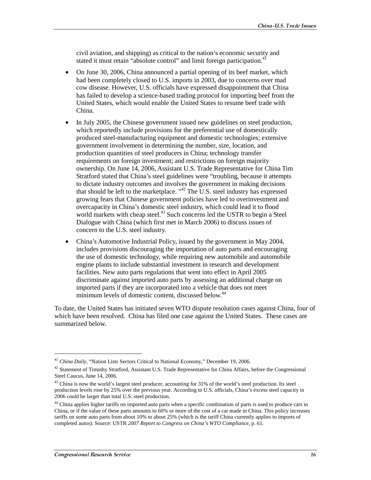civil aviation, and shipping) as critical to the nation's economic security and stated it must retain "absolute control" and limit foreign participation.<sup>41</sup>

- On June 30, 2006, China announced a partial opening of its beef market, which had been completely closed to U.S. imports in 2003, due to concerns over mad cow disease. However, U.S. officials have expressed disappointment that China has failed to develop a science-based trading protocol for importing beef from the United States, which would enable the United States to resume beef trade with China.
- In July 2005, the Chinese government issued new guidelines on steel production, which reportedly include provisions for the preferential use of domestically produced steel-manufacturing equipment and domestic technologies; extensive government involvement in determining the number, size, location, and production quantities of steel producers in China; technology transfer requirements on foreign investment; and restrictions on foreign majority ownership. On June 14, 2006, Assistant U.S. Trade Representative for China Tim Stratford stated that China's steel guidelines were "troubling, because it attempts to dictate industry outcomes and involves the government in making decisions that should be left to the marketplace. "<sup>42</sup> The U.S. steel industry has expressed growing fears that Chinese government policies have led to overinvestment and overcapacity in China's domestic steel industry, which could lead it to flood world markets with cheap steel.<sup>43</sup> Such concerns led the USTR to begin a Steel Dialogue with China (which first met in March 2006) to discuss issues of concern to the U.S. steel industry.
- China's Automotive Industrial Policy, issued by the government in May 2004, includes provisions discouraging the importation of auto parts and encouraging the use of domestic technology, while requiring new automobile and automobile engine plants to include substantial investment in research and development facilities. New auto parts regulations that went into effect in April 2005 discriminate against imported auto parts by assessing an additional charge on imported parts if they are incorporated into a vehicle that does not meet minimum levels of domestic content, discussed below.<sup>44</sup>

To date, the United States has initiated seven WTO dispute resolution cases against China, four of which have been resolved. China has filed one case against the United States. These cases are summarized below.

<sup>41</sup> *China Daily*, "Nation Lists Sectors Critical to National Economy," December 19, 2006.

 $42$  Statement of Timothy Stratford, Assistant U.S. Trade Representative for China Affairs, before the Congressional Steel Caucus, June 14, 2006.

 $43$  China is now the world's largest steel producer, accounting for 31% of the world's steel production. Its steel production levels rose by 25% over the previous year. According to U.S. officials, China's excess steel capacity in 2006 could be larger than total U.S. steel production.

<sup>&</sup>lt;sup>44</sup> China applies higher tariffs on imported auto parts when a specific combination of parts is used to produce cars in China, or if the value of these parts amounts to 60% or more of the cost of a car made in China. This policy increases tariffs on some auto parts from about 10% to about 25% (which is the tariff China currently applies to imports of completed autos). Source: USTR *2007 Report to Congress on China's WTO Compliance*, p. 61.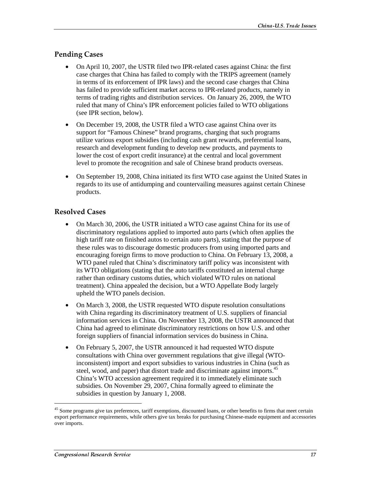#### **Pending Cases**

- On April 10, 2007, the USTR filed two IPR-related cases against China: the first case charges that China has failed to comply with the TRIPS agreement (namely in terms of its enforcement of IPR laws) and the second case charges that China has failed to provide sufficient market access to IPR-related products, namely in terms of trading rights and distribution services. On January 26, 2009, the WTO ruled that many of China's IPR enforcement policies failed to WTO obligations (see IPR section, below).
- On December 19, 2008, the USTR filed a WTO case against China over its support for "Famous Chinese" brand programs, charging that such programs utilize various export subsidies (including cash grant rewards, preferential loans, research and development funding to develop new products, and payments to lower the cost of export credit insurance) at the central and local government level to promote the recognition and sale of Chinese brand products overseas.
- On September 19, 2008, China initiated its first WTO case against the United States in regards to its use of antidumping and countervailing measures against certain Chinese products.

#### **Resolved Cases**

- On March 30, 2006, the USTR initiated a WTO case against China for its use of discriminatory regulations applied to imported auto parts (which often applies the high tariff rate on finished autos to certain auto parts), stating that the purpose of these rules was to discourage domestic producers from using imported parts and encouraging foreign firms to move production to China. On February 13, 2008, a WTO panel ruled that China's discriminatory tariff policy was inconsistent with its WTO obligations (stating that the auto tariffs constituted an internal charge rather than ordinary customs duties, which violated WTO rules on national treatment). China appealed the decision, but a WTO Appellate Body largely upheld the WTO panels decision.
- On March 3, 2008, the USTR requested WTO dispute resolution consultations with China regarding its discriminatory treatment of U.S. suppliers of financial information services in China. On November 13, 2008, the USTR announced that China had agreed to eliminate discriminatory restrictions on how U.S. and other foreign suppliers of financial information services do business in China.
- On February 5, 2007, the USTR announced it had requested WTO dispute consultations with China over government regulations that give illegal (WTOinconsistent) import and export subsidies to various industries in China (such as steel, wood, and paper) that distort trade and discriminate against imports.<sup>45</sup> China's WTO accession agreement required it to immediately eliminate such subsidies. On November 29, 2007, China formally agreed to eliminate the subsidies in question by January 1, 2008.

<sup>&</sup>lt;sup>45</sup> Some programs give tax preferences, tariff exemptions, discounted loans, or other benefits to firms that meet certain export performance requirements, while others give tax breaks for purchasing Chinese-made equipment and accessories over imports.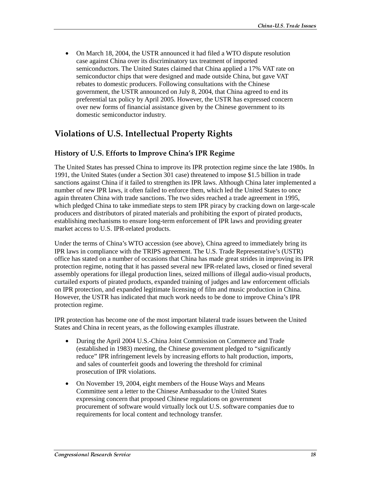• On March 18, 2004, the USTR announced it had filed a WTO dispute resolution case against China over its discriminatory tax treatment of imported semiconductors. The United States claimed that China applied a 17% VAT rate on semiconductor chips that were designed and made outside China, but gave VAT rebates to domestic producers. Following consultations with the Chinese government, the USTR announced on July 8, 2004, that China agreed to end its preferential tax policy by April 2005. However, the USTR has expressed concern over new forms of financial assistance given by the Chinese government to its domestic semiconductor industry.

## Violations of U.S. Intellectual Property Rights

#### History of U.S. Efforts to Improve China's IPR Regime

The United States has pressed China to improve its IPR protection regime since the late 1980s. In 1991, the United States (under a Section 301 case) threatened to impose \$1.5 billion in trade sanctions against China if it failed to strengthen its IPR laws. Although China later implemented a number of new IPR laws, it often failed to enforce them, which led the United States to once again threaten China with trade sanctions. The two sides reached a trade agreement in 1995, which pledged China to take immediate steps to stem IPR piracy by cracking down on large-scale producers and distributors of pirated materials and prohibiting the export of pirated products, establishing mechanisms to ensure long-term enforcement of IPR laws and providing greater market access to U.S. IPR-related products.

Under the terms of China's WTO accession (see above), China agreed to immediately bring its IPR laws in compliance with the TRIPS agreement. The U.S. Trade Representative's (USTR) office has stated on a number of occasions that China has made great strides in improving its IPR protection regime, noting that it has passed several new IPR-related laws, closed or fined several assembly operations for illegal production lines, seized millions of illegal audio-visual products, curtailed exports of pirated products, expanded training of judges and law enforcement officials on IPR protection, and expanded legitimate licensing of film and music production in China. However, the USTR has indicated that much work needs to be done to improve China's IPR protection regime.

IPR protection has become one of the most important bilateral trade issues between the United States and China in recent years, as the following examples illustrate.

- During the April 2004 U.S.-China Joint Commission on Commerce and Trade (established in 1983) meeting, the Chinese government pledged to "significantly reduce" IPR infringement levels by increasing efforts to halt production, imports, and sales of counterfeit goods and lowering the threshold for criminal prosecution of IPR violations.
- On November 19, 2004, eight members of the House Ways and Means Committee sent a letter to the Chinese Ambassador to the United States expressing concern that proposed Chinese regulations on government procurement of software would virtually lock out U.S. software companies due to requirements for local content and technology transfer.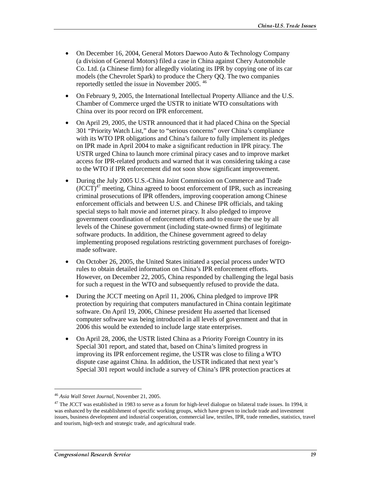- On December 16, 2004, General Motors Daewoo Auto & Technology Company (a division of General Motors) filed a case in China against Chery Automobile Co. Ltd. (a Chinese firm) for allegedly violating its IPR by copying one of its car models (the Chevrolet Spark) to produce the Chery QQ. The two companies reportedly settled the issue in November 2005. 46
- On February 9, 2005, the International Intellectual Property Alliance and the U.S. Chamber of Commerce urged the USTR to initiate WTO consultations with China over its poor record on IPR enforcement.
- On April 29, 2005, the USTR announced that it had placed China on the Special 301 "Priority Watch List," due to "serious concerns" over China's compliance with its WTO IPR obligations and China's failure to fully implement its pledges on IPR made in April 2004 to make a significant reduction in IPR piracy. The USTR urged China to launch more criminal piracy cases and to improve market access for IPR-related products and warned that it was considering taking a case to the WTO if IPR enforcement did not soon show significant improvement.
- During the July 2005 U.S.-China Joint Commission on Commerce and Trade  $(JCCT)^{47}$  meeting, China agreed to boost enforcement of IPR, such as increasing criminal prosecutions of IPR offenders, improving cooperation among Chinese enforcement officials and between U.S. and Chinese IPR officials, and taking special steps to halt movie and internet piracy. It also pledged to improve government coordination of enforcement efforts and to ensure the use by all levels of the Chinese government (including state-owned firms) of legitimate software products. In addition, the Chinese government agreed to delay implementing proposed regulations restricting government purchases of foreignmade software.
- On October 26, 2005, the United States initiated a special process under WTO rules to obtain detailed information on China's IPR enforcement efforts. However, on December 22, 2005, China responded by challenging the legal basis for such a request in the WTO and subsequently refused to provide the data.
- During the JCCT meeting on April 11, 2006, China pledged to improve IPR protection by requiring that computers manufactured in China contain legitimate software. On April 19, 2006, Chinese president Hu asserted that licensed computer software was being introduced in all levels of government and that in 2006 this would be extended to include large state enterprises.
- On April 28, 2006, the USTR listed China as a Priority Foreign Country in its Special 301 report, and stated that, based on China's limited progress in improving its IPR enforcement regime, the USTR was close to filing a WTO dispute case against China. In addition, the USTR indicated that next year's Special 301 report would include a survey of China's IPR protection practices at

<sup>46</sup> *Asia Wall Street Journal*, November 21, 2005.

 $47$  The JCCT was established in 1983 to serve as a forum for high-level dialogue on bilateral trade issues. In 1994, it was enhanced by the establishment of specific working groups, which have grown to include trade and investment issues, business development and industrial cooperation, commercial law, textiles, IPR, trade remedies, statistics, travel and tourism, high-tech and strategic trade, and agricultural trade.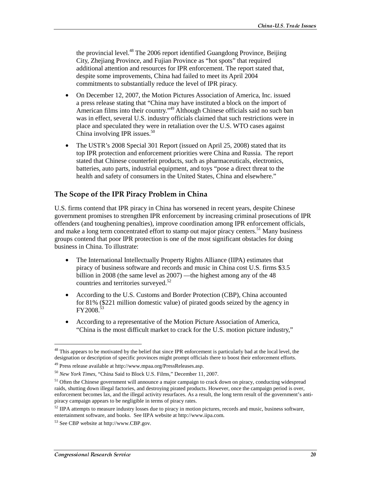the provincial level.<sup>48</sup> The 2006 report identified Guangdong Province, Beijing City, Zhejiang Province, and Fujian Province as "hot spots" that required additional attention and resources for IPR enforcement. The report stated that, despite some improvements, China had failed to meet its April 2004 commitments to substantially reduce the level of IPR piracy.

- On December 12, 2007, the Motion Pictures Association of America, Inc. issued a press release stating that "China may have instituted a block on the import of American films into their country.<sup>49</sup> Although Chinese officials said no such ban was in effect, several U.S. industry officials claimed that such restrictions were in place and speculated they were in retaliation over the U.S. WTO cases against China involving IPR issues. $50$
- The USTR's 2008 Special 301 Report (issued on April 25, 2008) stated that its top IPR protection and enforcement priorities were China and Russia. The report stated that Chinese counterfeit products, such as pharmaceuticals, electronics, batteries, auto parts, industrial equipment, and toys "pose a direct threat to the health and safety of consumers in the United States, China and elsewhere."

#### The Scope of the IPR Piracy Problem in China

U.S. firms contend that IPR piracy in China has worsened in recent years, despite Chinese government promises to strengthen IPR enforcement by increasing criminal prosecutions of IPR offenders (and toughening penalties), improve coordination among IPR enforcement officials, and make a long term concentrated effort to stamp out major piracy centers.<sup>51</sup> Many business groups contend that poor IPR protection is one of the most significant obstacles for doing business in China. To illustrate:

- The International Intellectually Property Rights Alliance (IIPA) estimates that piracy of business software and records and music in China cost U.S. firms \$3.5 billion in 2008 (the same level as 2007) —the highest among any of the 48 countries and territories surveyed.<sup>52</sup>
- According to the U.S. Customs and Border Protection (CBP), China accounted for 81% (\$221 million domestic value) of pirated goods seized by the agency in FY2008.53
- According to a representative of the Motion Picture Association of America, "China is the most difficult market to crack for the U.S. motion picture industry,"

 $48$  This appears to be motivated by the belief that since IPR enforcement is particularly bad at the local level, the designation or description of specific provinces might prompt officials there to boost their enforcement efforts.

<sup>49</sup> Press release available at http://www.mpaa.org/PressReleases.asp.

<sup>50</sup> *New York Times*, "China Said to Block U.S. Films," December 11, 2007.

<sup>&</sup>lt;sup>51</sup> Often the Chinese government will announce a major campaign to crack down on piracy, conducting widespread raids, shutting down illegal factories, and destroying pirated products. However, once the campaign period is over, enforcement becomes lax, and the illegal activity resurfaces. As a result, the long term result of the government's antipiracy campaign appears to be negligible in terms of piracy rates.

<sup>&</sup>lt;sup>52</sup> IIPA attempts to measure industry losses due to piracy in motion pictures, records and music, business software, entertainment software, and books. See IIPA website at http://www.iipa.com.

<sup>53</sup> See CBP website at http://www.CBP.gov.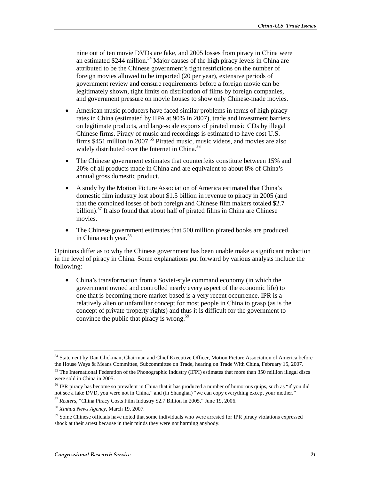nine out of ten movie DVDs are fake, and 2005 losses from piracy in China were an estimated \$244 million.<sup>54</sup> Major causes of the high piracy levels in China are attributed to be the Chinese government's tight restrictions on the number of foreign movies allowed to be imported (20 per year), extensive periods of government review and censure requirements before a foreign movie can be legitimately shown, tight limits on distribution of films by foreign companies, and government pressure on movie houses to show only Chinese-made movies.

- American music producers have faced similar problems in terms of high piracy rates in China (estimated by IIPA at 90% in 2007), trade and investment barriers on legitimate products, and large-scale exports of pirated music CDs by illegal Chinese firms. Piracy of music and recordings is estimated to have cost U.S. firms  $$451$  million in 2007.<sup>55</sup> Pirated music, music videos, and movies are also widely distributed over the Internet in China.<sup>56</sup>
- The Chinese government estimates that counterfeits constitute between 15% and 20% of all products made in China and are equivalent to about 8% of China's annual gross domestic product.
- A study by the Motion Picture Association of America estimated that China's domestic film industry lost about \$1.5 billion in revenue to piracy in 2005 (and that the combined losses of both foreign and Chinese film makers totaled \$2.7 billion).<sup>57</sup> It also found that about half of pirated films in China are Chinese movies.
- The Chinese government estimates that 500 million pirated books are produced in China each year.<sup>58</sup>

Opinions differ as to why the Chinese government has been unable make a significant reduction in the level of piracy in China. Some explanations put forward by various analysts include the following:

• China's transformation from a Soviet-style command economy (in which the government owned and controlled nearly every aspect of the economic life) to one that is becoming more market-based is a very recent occurrence. IPR is a relatively alien or unfamiliar concept for most people in China to grasp (as is the concept of private property rights) and thus it is difficult for the government to convince the public that piracy is wrong.<sup>59</sup>

<sup>54</sup> Statement by Dan Glickman, Chairman and Chief Executive Officer, Motion Picture Association of America before the House Ways & Means Committee, Subcommittee on Trade, hearing on Trade With China, February 15, 2007.

<sup>&</sup>lt;sup>55</sup> The International Federation of the Phonographic Industry (IFPI) estimates that more than 350 million illegal discs were sold in China in 2005.

<sup>&</sup>lt;sup>56</sup> IPR piracy has become so prevalent in China that it has produced a number of humorous quips, such as "if you did not see a fake DVD, you were not in China," and (in Shanghai) "we can copy everything except your mother."

<sup>57</sup> *Reuters*, "China Piracy Costs Film Industry \$2.7 Billion in 2005," June 19, 2006.

<sup>58</sup> *Xinhua News Agency*, March 19, 2007.

<sup>&</sup>lt;sup>59</sup> Some Chinese officials have noted that some individuals who were arrested for IPR piracy violations expressed shock at their arrest because in their minds they were not harming anybody.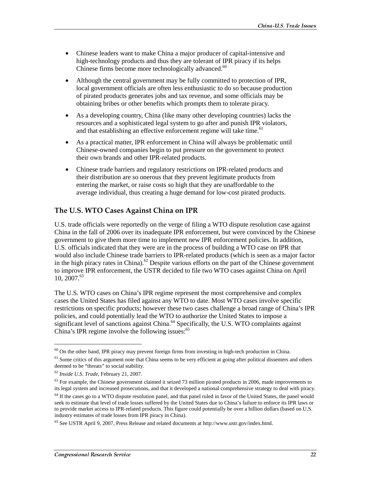- Chinese leaders want to make China a major producer of capital-intensive and high-technology products and thus they are tolerant of IPR piracy if its helps Chinese firms become more technologically advanced.<sup>60</sup>
- Although the central government may be fully committed to protection of IPR, local government officials are often less enthusiastic to do so because production of pirated products generates jobs and tax revenue, and some officials may be obtaining bribes or other benefits which prompts them to tolerate piracy.
- As a developing country, China (like many other developing countries) lacks the resources and a sophisticated legal system to go after and punish IPR violators, and that establishing an effective enforcement regime will take time.<sup>61</sup>
- As a practical matter, IPR enforcement in China will always be problematic until Chinese-owned companies begin to put pressure on the government to protect their own brands and other IPR-related products.
- Chinese trade barriers and regulatory restrictions on IPR-related products and their distribution are so onerous that they prevent legitimate products from entering the market, or raise costs so high that they are unaffordable to the average individual, thus creating a huge demand for low-cost pirated products.

#### The U.S. WTO Cases Against China on IPR

U.S. trade officials were reportedly on the verge of filing a WTO dispute resolution case against China in the fall of 2006 over its inadequate IPR enforcement, but were convinced by the Chinese government to give them more time to implement new IPR enforcement policies. In addition, U.S. officials indicated that they were are in the process of building a WTO case on IPR that would also include Chinese trade barriers to IPR-related products (which is seen as a major factor in the high piracy rates in China).<sup>62</sup> Despite various efforts on the part of the Chinese government to improve IPR enforcement, the USTR decided to file two WTO cases against China on April  $10, 2007.<sup>63</sup>$ 

The U.S. WTO cases on China's IPR regime represent the most comprehensive and complex cases the United States has filed against any WTO to date. Most WTO cases involve specific restrictions on specific products; however these two cases challenge a broad range of China's IPR policies, and could potentially lead the WTO to authorize the United States to impose a significant level of sanctions against China.<sup>64</sup> Specifically, the U.S. WTO complaints against China's IPR regime involve the following issues: $65$ 

 $60$  On the other hand, IPR piracy may prevent foreign firms from investing in high-tech production in China.

 $<sup>61</sup>$  Some critics of this argument note that China seems to be very efficient at going after political dissenters and others</sup> deemed to be "threats" to social stability.

<sup>62</sup> *Inside U.S. Trade*, February 21, 2007.

 $63$  For example, the Chinese government claimed it seized 73 million pirated products in 2006, made improvements to its legal system and increased prosecutions, and that it developed a national comprehensive strategy to deal with piracy.

<sup>&</sup>lt;sup>64</sup> If the cases go to a WTO dispute resolution panel, and that panel ruled in favor of the United States, the panel would seek to estimate that level of trade losses suffered by the United States due to China's failure to enforce its IPR laws or to provide market access to IPR-related products. This figure could potentially be over a billion dollars (based on U.S. industry estimates of trade losses from IPR piracy in China).

<sup>65</sup> See USTR April 9, 2007, Press Release and related documents at http://www.ustr.gov/index.html.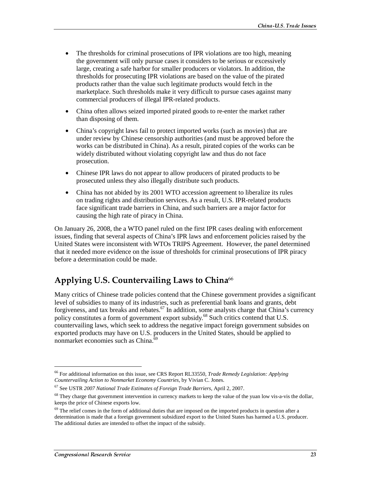- The thresholds for criminal prosecutions of IPR violations are too high, meaning the government will only pursue cases it considers to be serious or excessively large, creating a safe harbor for smaller producers or violators. In addition, the thresholds for prosecuting IPR violations are based on the value of the pirated products rather than the value such legitimate products would fetch in the marketplace. Such thresholds make it very difficult to pursue cases against many commercial producers of illegal IPR-related products.
- China often allows seized imported pirated goods to re-enter the market rather than disposing of them.
- China's copyright laws fail to protect imported works (such as movies) that are under review by Chinese censorship authorities (and must be approved before the works can be distributed in China). As a result, pirated copies of the works can be widely distributed without violating copyright law and thus do not face prosecution.
- Chinese IPR laws do not appear to allow producers of pirated products to be prosecuted unless they also illegally distribute such products.
- China has not abided by its 2001 WTO accession agreement to liberalize its rules on trading rights and distribution services. As a result, U.S. IPR-related products face significant trade barriers in China, and such barriers are a major factor for causing the high rate of piracy in China.

On January 26, 2008, the a WTO panel ruled on the first IPR cases dealing with enforcement issues, finding that several aspects of China's IPR laws and enforcement policies raised by the United States were inconsistent with WTOs TRIPS Agreement. However, the panel determined that it needed more evidence on the issue of thresholds for criminal prosecutions of IPR piracy before a determination could be made.

## Applying U.S. Countervailing Laws to China $\rm ^{66}$

Many critics of Chinese trade policies contend that the Chinese government provides a significant level of subsidies to many of its industries, such as preferential bank loans and grants, debt forgiveness, and tax breaks and rebates.<sup>67</sup> In addition, some analysts charge that China's currency policy constitutes a form of government export subsidy.68 Such critics contend that U.S. countervailing laws, which seek to address the negative impact foreign government subsides on exported products may have on U.S. producers in the United States, should be applied to nonmarket economies such as China. $\overline{6}$ 

<sup>66</sup> For additional information on this issue, see CRS Report RL33550, *Trade Remedy Legislation: Applying Countervailing Action to Nonmarket Economy Countries*, by Vivian C. Jones.

<sup>67</sup> See USTR *2007 National Trade Estimates of Foreign Trade Barriers*, April 2, 2007.

<sup>&</sup>lt;sup>68</sup> They charge that government intervention in currency markets to keep the value of the yuan low vis-a-vis the dollar, keeps the price of Chinese exports low.

 $69$  The relief comes in the form of additional duties that are imposed on the imported products in question after a determination is made that a foreign government subsidized export to the United States has harmed a U.S. producer. The additional duties are intended to offset the impact of the subsidy.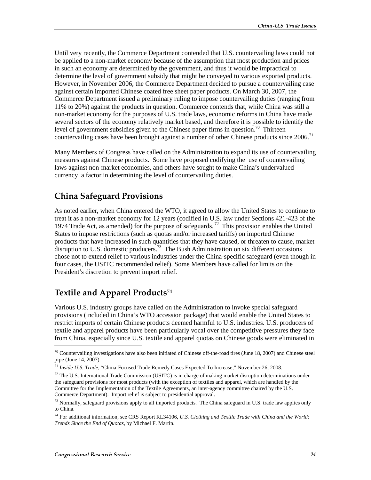Until very recently, the Commerce Department contended that U.S. countervailing laws could not be applied to a non-market economy because of the assumption that most production and prices in such an economy are determined by the government, and thus it would be impractical to determine the level of government subsidy that might be conveyed to various exported products. However, in November 2006, the Commerce Department decided to pursue a countervailing case against certain imported Chinese coated free sheet paper products. On March 30, 2007, the Commerce Department issued a preliminary ruling to impose countervailing duties (ranging from 11% to 20%) against the products in question. Commerce contends that, while China was still a non-market economy for the purposes of U.S. trade laws, economic reforms in China have made several sectors of the economy relatively market based, and therefore it is possible to identify the level of government subsidies given to the Chinese paper firms in question.<sup>70</sup> Thirteen countervailing cases have been brought against a number of other Chinese products since 2006.<sup>71</sup>

Many Members of Congress have called on the Administration to expand its use of countervailing measures against Chinese products. Some have proposed codifying the use of countervailing laws against non-market economies, and others have sought to make China's undervalued currency a factor in determining the level of countervailing duties.

## China Safeguard Provisions

As noted earlier, when China entered the WTO, it agreed to allow the United States to continue to treat it as a non-market economy for 12 years (codified in U.S. law under Sections 421-423 of the 1974 Trade Act, as amended) for the purpose of safeguards.<sup>72</sup> This provision enables the United States to impose restrictions (such as quotas and/or increased tariffs) on imported Chinese products that have increased in such quantities that they have caused, or threaten to cause, market disruption to U.S. domestic producers.73 The Bush Administration on six different occasions chose not to extend relief to various industries under the China-specific safeguard (even though in four cases, the USITC recommended relief). Some Members have called for limits on the President's discretion to prevent import relief.

## Textile and Apparel Products $^{\rm 74}$

Various U.S. industry groups have called on the Administration to invoke special safeguard provisions (included in China's WTO accession package) that would enable the United States to restrict imports of certain Chinese products deemed harmful to U.S. industries. U.S. producers of textile and apparel products have been particularly vocal over the competitive pressures they face from China, especially since U.S. textile and apparel quotas on Chinese goods were eliminated in

 $70$  Countervailing investigations have also been initiated of Chinese off-the-road tires (June 18, 2007) and Chinese steel pipe (June 14, 2007).

<sup>71</sup> *Inside U.S. Trade*, "China-Focused Trade Remedy Cases Expected To Increase," November 26, 2008.

 $72$  The U.S. International Trade Commission (USITC) is in charge of making market disruption determinations under the safeguard provisions for most products (with the exception of textiles and apparel, which are handled by the Committee for the Implementation of the Textile Agreements, an inter-agency committee chaired by the U.S. Commerce Department). Import relief is subject to presidential approval.

<sup>&</sup>lt;sup>73</sup> Normally, safeguard provisions apply to all imported products. The China safeguard in U.S. trade law applies only to China.

<sup>74</sup> For additional information, see CRS Report RL34106, *U.S. Clothing and Textile Trade with China and the World: Trends Since the End of Quotas*, by Michael F. Martin.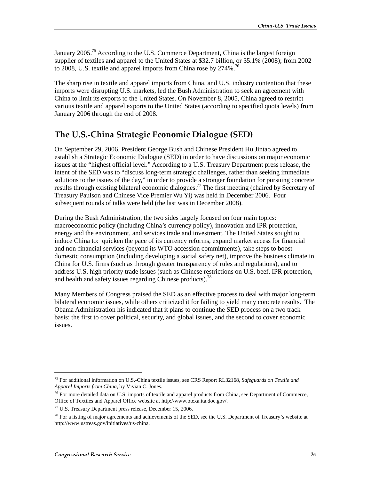January 2005.<sup>75</sup> According to the U.S. Commerce Department, China is the largest foreign supplier of textiles and apparel to the United States at \$32.7 billion, or 35.1% (2008); from 2002 to 2008, U.S. textile and apparel imports from China rose by 274%.<sup>76</sup>

The sharp rise in textile and apparel imports from China, and U.S. industry contention that these imports were disrupting U.S. markets, led the Bush Administration to seek an agreement with China to limit its exports to the United States. On November 8, 2005, China agreed to restrict various textile and apparel exports to the United States (according to specified quota levels) from January 2006 through the end of 2008.

## The U.S.-China Strategic Economic Dialogue (SED)

On September 29, 2006, President George Bush and Chinese President Hu Jintao agreed to establish a Strategic Economic Dialogue (SED) in order to have discussions on major economic issues at the "highest official level." According to a U.S. Treasury Department press release, the intent of the SED was to "discuss long-term strategic challenges, rather than seeking immediate solutions to the issues of the day," in order to provide a stronger foundation for pursuing concrete results through existing bilateral economic dialogues.<sup>77</sup> The first meeting (chaired by Secretary of Treasury Paulson and Chinese Vice Premier Wu Yi) was held in December 2006. Four subsequent rounds of talks were held (the last was in December 2008).

During the Bush Administration, the two sides largely focused on four main topics: macroeconomic policy (including China's currency policy), innovation and IPR protection, energy and the environment, and services trade and investment. The United States sought to induce China to: quicken the pace of its currency reforms, expand market access for financial and non-financial services (beyond its WTO accession commitments), take steps to boost domestic consumption (including developing a social safety net), improve the business climate in China for U.S. firms (such as through greater transparency of rules and regulations), and to address U.S. high priority trade issues (such as Chinese restrictions on U.S. beef, IPR protection, and health and safety issues regarding Chinese products).<sup>78</sup>

Many Members of Congress praised the SED as an effective process to deal with major long-term bilateral economic issues, while others criticized it for failing to yield many concrete results. The Obama Administration his indicated that it plans to continue the SED process on a two track basis: the first to cover political, security, and global issues, and the second to cover economic issues.

<sup>75</sup> For additional information on U.S.-China textile issues, see CRS Report RL32168, *Safeguards on Textile and Apparel Imports from China*, by Vivian C. Jones.

 $76$  For more detailed data on U.S. imports of textile and apparel products from China, see Department of Commerce, Office of Textiles and Apparel Office website at http://www.otexa.ita.doc.gov/.

<sup>77</sup> U.S. Treasury Department press release, December 15, 2006.

 $78$  For a listing of major agreements and achievements of the SED, see the U.S. Department of Treasury's website at http://www.ustreas.gov/initiatives/us-china.